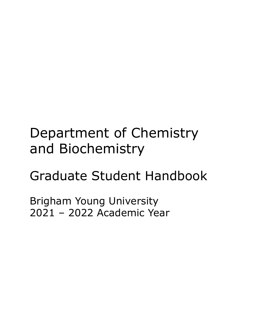# Department of Chemistry and Biochemistry

# Graduate Student Handbook

Brigham Young University 2021 – 2022 Academic Year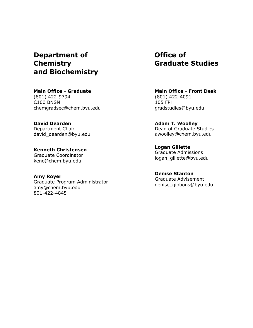# **Department of Chemistry and Biochemistry**

**Main Office - Graduate** (801) 422-9794 C100 BNSN chemgradsec@chem.byu.edu

**David Dearden** Department Chair [david\\_dearden@byu.edu](mailto:sdg@stat.byu.edu)

**Kenneth Christensen** Graduate Coordinator kenc@chem.byu.edu

**Amy Royer** Graduate Program Administrator amy@chem.byu.edu 801-422-4845

# **Office of Graduate Studies**

**Main Office - Front Desk** (801) 422-4091 105 FPH [gradstudies@byu.edu](mailto:gradstudies@byu.edu)

**Adam T. Woolley** Dean of Graduate Studies awoolley@chem.byu.edu

**Logan Gillette** Graduate Admissions logan\_gillette@byu.edu

**Denise Stanton** Graduate Advisement denise\_gibbons@byu.edu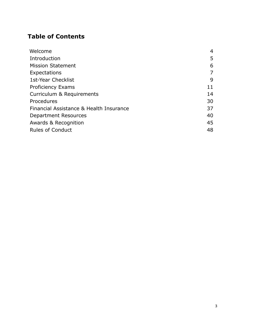# **Table of Contents**

| Welcome                                 | 4  |
|-----------------------------------------|----|
| Introduction                            | 5  |
| <b>Mission Statement</b>                | 6  |
| Expectations                            | 7  |
| 1st-Year Checklist                      | 9  |
| <b>Proficiency Exams</b>                | 11 |
| Curriculum & Requirements               | 14 |
| Procedures                              | 30 |
| Financial Assistance & Health Insurance | 37 |
| <b>Department Resources</b>             | 40 |
| Awards & Recognition                    | 45 |
| <b>Rules of Conduct</b>                 | 48 |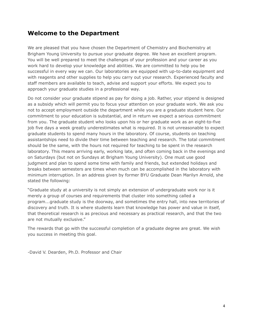## **Welcome to the Department**

We are pleased that you have chosen the Department of Chemistry and Biochemistry at Brigham Young University to pursue your graduate degree. We have an excellent program. You will be well prepared to meet the challenges of your profession and your career as you work hard to develop your knowledge and abilities. We are committed to help you be successful in every way we can. Our laboratories are equipped with up-to-date equipment and with reagents and other supplies to help you carry out your research. Experienced faculty and staff members are available to teach, advise and support your efforts. We expect you to approach your graduate studies in a professional way.

Do not consider your graduate stipend as pay for doing a job. Rather, your stipend is designed as a subsidy which will permit you to focus your attention on your graduate work. We ask you not to accept employment outside the department while you are a graduate student here. Our commitment to your education is substantial, and in return we expect a serious commitment from you. The graduate student who looks upon his or her graduate work as an eight-to-five job five days a week greatly underestimates what is required. It is not unreasonable to expect graduate students to spend many hours in the laboratory. Of course, students on teaching assistantships need to divide their time between teaching and research. The total commitment should be the same, with the hours not required for teaching to be spent in the research laboratory. This means arriving early, working late, and often coming back in the evenings and on Saturdays (but not on Sundays at Brigham Young University). One must use good judgment and plan to spend some time with family and friends, but extended holidays and breaks between semesters are times when much can be accomplished in the laboratory with minimum interruption. In an address given by former BYU Graduate Dean Marilyn Arnold, she stated the following:

"Graduate study at a university is not simply an extension of undergraduate work nor is it merely a group of courses and requirements that cluster into something called a program...graduate study is the doorway, and sometimes the entry hall, into new territories of discovery and truth. It is where students learn that knowledge has power and value in itself, that theoretical research is as precious and necessary as practical research, and that the two are not mutually exclusive."

The rewards that go with the successful completion of a graduate degree are great. We wish you success in meeting this goal.

-David V. Dearden, Ph.D. Professor and Chair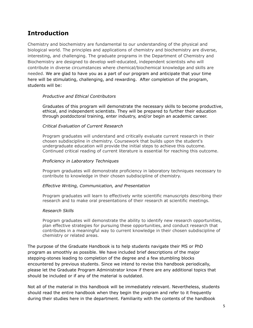# **Introduction**

Chemistry and biochemistry are fundamental to our understanding of the physical and biological world. The principles and applications of chemistry and biochemistry are diverse, interesting, and challenging. The graduate programs in the Department of Chemistry and Biochemistry are designed to develop well-educated, independent scientists who will contribute in diverse circumstances where chemical/biochemical knowledge and skills are needed. We are glad to have you as a part of our program and anticipate that your time here will be stimulating, challenging, and rewarding. After completion of the program, students will be:

#### *Productive and Ethical Contributors*

Graduates of this program will demonstrate the necessary skills to become productive, ethical, and independent scientists. They will be prepared to further their education through postdoctoral training, enter industry, and/or begin an academic career.

#### *Critical Evaluation of Current Research*

Program graduates will understand and critically evaluate current research in their chosen subdiscipline in chemistry. Coursework that builds upon the student's undergraduate education will provide the initial steps to achieve this outcome. Continued critical reading of current literature is essential for reaching this outcome.

#### *Proficiency in Laboratory Techniques*

Program graduates will demonstrate proficiency in laboratory techniques necessary to contribute to knowledge in their chosen subdiscipline of chemistry.

#### *Effective Writing, Communication, and Presentation*

Program graduates will learn to effectively write scientific manuscripts describing their research and to make oral presentations of their research at scientific meetings.

#### *Research Skills*

Program graduates will demonstrate the ability to identify new research opportunities, plan effective strategies for pursuing these opportunities, and conduct research that contributes in a meaningful way to current knowledge in their chosen subdiscipline of chemistry or related areas.

The purpose of the Graduate Handbook is to help students navigate their MS or PhD program as smoothly as possible. We have included brief descriptions of the major stepping-stones leading to completion of the degree and a few stumbling blocks encountered by previous students. Since we intend to revise this handbook periodically, please let the Graduate Program Administrator know if there are any additional topics that should be included or if any of the material is outdated.

Not all of the material in this handbook will be immediately relevant. Nevertheless, students should read the entire handbook when they begin the program and refer to it frequently during their studies here in the department. Familiarity with the contents of the handbook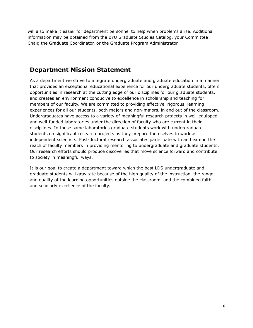will also make it easier for department personnel to help when problems arise. Additional information may be obtained from the BYU Graduate Studies Catalog, your Committee Chair, the Graduate Coordinator, or the Graduate Program Administrator.

## **Department Mission Statement**

As a department we strive to integrate undergraduate and graduate education in a manner that provides an exceptional educational experience for our undergraduate students, offers opportunities in research at the cutting edge of our disciplines for our graduate students, and creates an environment conducive to excellence in scholarship and teaching for members of our faculty. We are committed to providing effective, rigorous, learning experiences for all our students, both majors and non-majors, in and out of the classroom. Undergraduates have access to a variety of meaningful research projects in well-equipped and well-funded laboratories under the direction of faculty who are current in their disciplines. In those same laboratories graduate students work with undergraduate students on significant research projects as they prepare themselves to work as independent scientists. Post-doctoral research associates participate with and extend the reach of faculty members in providing mentoring to undergraduate and graduate students. Our research efforts should produce discoveries that move science forward and contribute to society in meaningful ways.

It is our goal to create a department toward which the best LDS undergraduate and graduate students will gravitate because of the high quality of the instruction, the range and quality of the learning opportunities outside the classroom, and the combined faith and scholarly excellence of the faculty.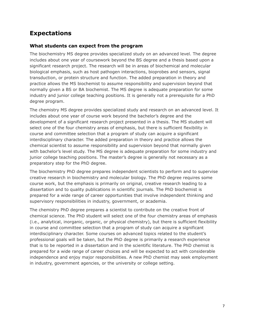# <span id="page-6-0"></span>**Expectations**

#### **What students can expect from the program**

The biochemistry MS degree provides specialized study on an advanced level. The degree includes about one year of coursework beyond the BS degree and a thesis based upon a significant research project. The research will be in areas of biochemical and molecular biological emphasis, such as host pathogen interactions, bioprobes and sensors, signal transduction, or protein structure and function. The added preparation in theory and practice allows the MS biochemist to assume responsibility and supervision beyond that normally given a BS or BA biochemist. The MS degree is adequate preparation for some industry and junior college teaching positions. It is generally not a prerequisite for a PhD degree program.

The chemistry MS degree provides specialized study and research on an advanced level. It includes about one year of course work beyond the bachelor's degree and the development of a significant research project presented in a thesis. The MS student will select one of the four chemistry areas of emphasis, but there is sufficient flexibility in course and committee selection that a program of study can acquire a significant interdisciplinary character. The added preparation in theory and practice allows the chemical scientist to assume responsibility and supervision beyond that normally given with bachelor's level study. The MS degree is adequate preparation for some industry and junior college teaching positions. The master's degree is generally not necessary as a preparatory step for the PhD degree.

The biochemistry PhD degree prepares independent scientists to perform and to supervise creative research in biochemistry and molecular biology. The PhD degree requires some course work, but the emphasis is primarily on original, creative research leading to a dissertation and to quality publications in scientific journals. The PhD biochemist is prepared for a wide range of career opportunities that involve independent thinking and supervisory responsibilities in industry, government, or academia.

The chemistry PhD degree prepares a scientist to contribute on the creative front of chemical science. The PhD student will select one of the four chemistry areas of emphasis (i.e., analytical, inorganic, organic, or physical chemistry), but there is sufficient flexibility in course and committee selection that a program of study can acquire a significant interdisciplinary character. Some courses on advanced topics related to the student's professional goals will be taken, but the PhD degree is primarily a research experience that is to be reported in a dissertation and in the scientific literature. The PhD chemist is prepared for a wide range of career choices and will be expected to act with considerable independence and enjoy major responsibilities. A new PhD chemist may seek employment in industry, government agencies, or the university or college setting.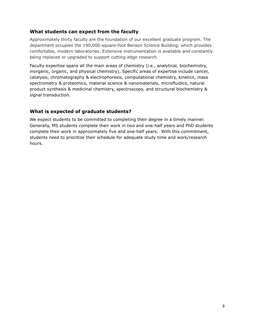## **What students can expect from the faculty**

Approximately thirty faculty are the foundation of our excellent graduate program. The department occupies the 190,000-square-foot Benson Science Building, which provides comfortable, modern laboratories. Extensive instrumentation is available and constantly being replaced or upgraded to support cutting-edge research.

Faculty expertise spans all the main areas of chemistry (i.e., analytical, biochemistry, inorganic, organic, and physical chemistry). Specific areas of expertise include cancer, catalysis, chromatography & electrophoresis, computational chemistry, kinetics, mass spectrometry & proteomics, material science & nanomaterials, microfluidics, natural product synthesis & medicinal chemistry, spectroscopy, and structural biochemistry & signal transduction.

## **What is expected of graduate students?**

We expect students to be committed to completing their degree in a timely manner. Generally, MS students complete their work in two and one-half years and PhD students complete their work in approximately five and one-half years. With this commitment, students need to prioritize their schedule for adequate study time and work/research hours.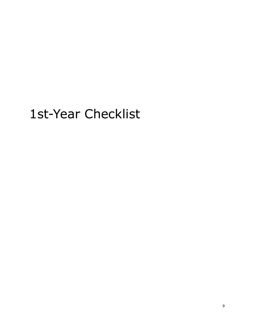# 1st-Year Checklist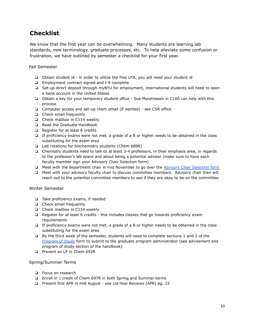# **Checklist**

We know that the first year can be overwhelming. Many students are learning lab standards, new terminology, graduate processes, etc. To help alleviate some confusion or frustration, we have outlined by semester a checklist for your first year.

Fall Semester

- ❏ Obtain student id in order to utilize the free UTA, you will need your student id
- ❏ Employment contract signed and I-9 complete
- ❏ Set-up direct deposit through myBYU for employment, international students will need to open a bank account in the United States
- ❏ Obtain a key for your temporary student office Sue Moretnesen in C100 can help with this process
- ❏ Computer access and set-up chem email (if wanted) see CSR office
- ❏ Check email frequently
- ❏ Check mailbox in C114 weekly
- ❏ Read the Graduate Handbook
- ❏ Register for at least 6 credits
- ❏ If proficiency exams were not met, a grade of a B or higher needs to be obtained in the class substituting for the exam area
- ❏ Lab rotations for biochemistry students (Chem 689R)
- ❏ Chemistry students need to talk to at least 3-4 professors, in their emphasis area, in regards to the professor's lab space and about being a potential advisor (make sure to have each faculty member sign your Advisory Chair Selection form)
- ❏ Meet with the department chair in mid November to go over the [Advisory Chair Selection form](https://www.chem.byu.edu/static/media/uploads/advisory_chair_selection_form-updated.pdf)
- ❏ Meet with your advisory faculty chair to discuss committee members. Advisory chair then will reach out to the potential committee members to see if they are okay to be on the committee.

#### Winter Semester

- ❏ Take proficiency exams, if needed
- ❏ Check email frequently
- ❏ Check mailbox in C114 weekly
- ❏ Register for at least 6 credits this includes classes that go towards proficiency exam requirements
- ❏ If proficiency exams were not met, a grade of a B or higher needs to be obtained in the class substituting for the exam area
- ❏ By the third week of the semester, students will need to complete sections 1 and 2 of the [Program of Study](https://www.chem.byu.edu/static/media/uploads/pos_form.pdf) form to submit to the graduate program administrator (see advisement and program of study section of the handbook)
- ❏ Present an LP in Chem 692R

#### Spring/Summer Terms

- ❏ Focus on research
- ❏ Enroll in 1 credit of Chem 697R in both Spring and Summer terms
- ❏ Present first APR in mid August see 1st-Year Reviews (APR) pg. 23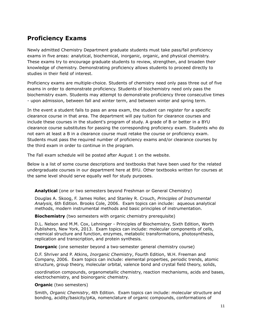# **Proficiency Exams**

Newly admitted Chemistry Department graduate students must take pass/fail proficiency exams in five areas: analytical, biochemical, inorganic, organic, and physical chemistry. These exams try to encourage graduate students to review, strengthen, and broaden their knowledge of chemistry. Demonstrating proficiency allows students to proceed directly to studies in their field of interest.

Proficiency exams are multiple-choice. Students of chemistry need only pass three out of five exams in order to demonstrate proficiency. Students of biochemistry need only pass the biochemistry exam. Students may attempt to demonstrate proficiency three consecutive times - upon admission, between fall and winter term, and between winter and spring term.

In the event a student fails to pass an area exam, the student can register for a specific clearance course in that area. The department will pay tuition for clearance courses and include these courses in the student's program of study. A grade of B or better in a BYU clearance course substitutes for passing the corresponding proficiency exam. Students who do not earn at least a B in a clearance course must retake the course or proficiency exam. Students must pass the required number of proficiency exams and/or clearance courses by the third exam in order to continue in the program.

The Fall exam schedule will be posted after August 1 on the website.

Below is a list of some course descriptions and textbooks that have been used for the related undergraduate courses in our department here at BYU. Other textbooks written for courses at the same level should serve equally well for study purposes.

#### **Analytical** (one or two semesters beyond Freshman or General Chemistry)

Douglas A. Skoog, F. James Holler, and Stanley R. Crouch, *Principles of Instrumental Analysis,* 6th Edition. Brooks Cole, 2006. Exam topics can include: aqueous analytical methods, modern instrumental methods and basic principles of instrumentation.

#### **Biochemistry** (two semesters with organic chemistry prerequisite)

D.L. Nelson and M.M. Cox, Lehninger - Principles of Biochemistry, Sixth Edition, Worth Publishers, New York, 2013. Exam topics can include: molecular components of cells, chemical structure and function, enzymes, metabolic transformations, photosynthesis, replication and transcription, and protein synthesis.

#### **Inorganic** (one semester beyond a two-semester general chemistry course)

D.F. Shriver and P. Atkins, *Inorganic Chemistry*, Fourth Edition, W.H. Freeman and Company, 2006. Exam topics can include: elemental properties, periodic trends, atomic structure, group theory, molecular orbital, valence bond and crystal field theory, solids,

coordination compounds, organometallic chemistry, reaction mechanisms, acids and bases, electrochemistry, and bioinorganic chemistry.

#### **Organic** (two semesters)

Smith, *Organic Chemistry*, 4th Edition. Exam topics can include: molecular structure and bonding, acidity/basicity/pKa, nomenclature of organic compounds, conformations of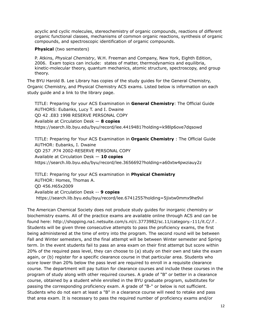acyclic and cyclic molecules, stereochemistry of organic compounds, reactions of different organic functional classes, mechanisms of common organic reactions, synthesis of organic compounds, and spectroscopic identification of organic compounds.

#### **Physical** (two semesters)

P. Atkins, *Physical Chemistry*, W.H. Freeman and Company, New York, Eighth Edition, 2006. Exam topics can include: states of matter, thermodynamics and equilibria, kinetic-molecular theory, quantum mechanics, atomic structure, spectroscopy, and group theory.

The BYU Harold B. Lee Library has copies of the study guides for the General Chemistry, Organic Chemistry, and Physical Chemistry ACS exams. Listed below is information on each study guide and a link to the library page.

TITLE: Preparing for your ACS Examination in **General Chemistry**: The Official Guide AUTHORS: Eubanks, Lucy T. and I. Dwaine QD 42 .E83 1998 RESERVE PERSONAL COPY Available at Circulation Desk — **8 copies** <https://search.lib.byu.edu/byu/record/lee.4419481?holding=k98lp6ove7dqsowd>

TITLE: Preparing for Your ACS Examination in **Organic Chemistry** : The Official Guide AUTHOR: Eubanks, I. Dwaine QD 257 .P74 2002-RESERVE PERSONAL COPY Available at Circulation Desk — **10 copies** <https://search.lib.byu.edu/byu/record/lee.3656692?holding=a60xtw4pwziauy2z>

TITLE: Preparing for your ACS examination in **Physical Chemistry** AUTHOR: Homes, Thomas A. QD 456.H65x2009 Available at Circulation Desk -- **9 copies** <https://search.lib.byu.edu/byu/record/lee.6741255?holding=5jixtw0mmx9he9vl>

The American Chemical Society does not produce study guides for inorganic chemistry or biochemistry exams. All of the practice exams are available online through ACS and can be found here: <http://shopping.na1.netsuite.com/s.nl/c.3773982/sc.11/category.-111/it.C/.f> . Students will be given three consecutive attempts to pass the proficiency exams, the first being administered at the time of entry into the program. The second round will be between Fall and Winter semesters, and the final attempt will be between Winter semester and Spring term. In the event students fail to pass an area exam on their first attempt but score within 20% of the required pass level, they can choose to (a) study on their own and take the exam again, or (b) register for a specific clearance course in that particular area. Students who score lower than 20% below the pass level are required to enroll in a requisite clearance course. The department will pay tuition for clearance courses and include these courses in the program of study along with other required courses. A grade of "B" or better in a clearance course, obtained by a student while enrolled in the BYU graduate program, substitutes for passing the corresponding proficiency exam. A grade of "B-" or below is not sufficient. Students who do not earn at least a "B" in a clearance course will need to retake and pass that area exam. It is necessary to pass the required number of proficiency exams and/or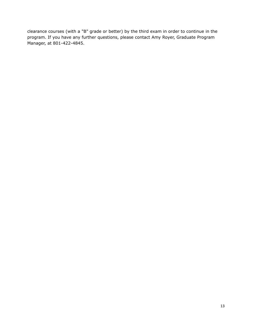clearance courses (with a "B" grade or better) by the third exam in order to continue in the program. If you have any further questions, please contact Amy Royer, Graduate Program Manager, at 801-422-4845.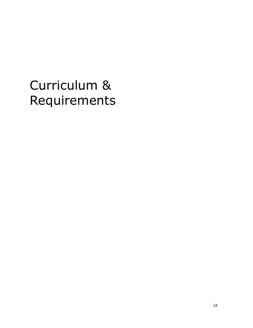# <span id="page-13-0"></span>Curriculum & Requirements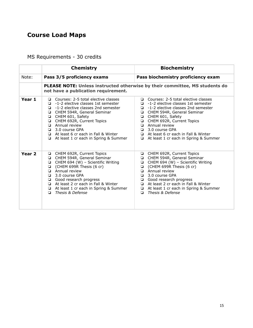# **Course Load Maps**

MS Requirements - 30 credits

|                   | <b>Chemistry</b>                                                                                                                                                                                                                                                                                                                                                 | <b>Biochemistry</b>                                                                                                                                                                                                                                                                                                                                                   |
|-------------------|------------------------------------------------------------------------------------------------------------------------------------------------------------------------------------------------------------------------------------------------------------------------------------------------------------------------------------------------------------------|-----------------------------------------------------------------------------------------------------------------------------------------------------------------------------------------------------------------------------------------------------------------------------------------------------------------------------------------------------------------------|
| Note:             | Pass 3/5 proficiency exams                                                                                                                                                                                                                                                                                                                                       | Pass biochemistry proficiency exam                                                                                                                                                                                                                                                                                                                                    |
|                   | not have a publication requirement.                                                                                                                                                                                                                                                                                                                              | <b>PLEASE NOTE: Unless instructed otherwise by their committee, MS students do</b>                                                                                                                                                                                                                                                                                    |
| Year 1            | Courses: 2-5 total elective classes<br>$\Box$<br>$\Box$ -1-2 elective classes 1st semester<br>$\Box$ -1-2 elective classes 2nd semester<br>CHEM 594R, General Seminar<br>CHEM 601, Safety<br>CHEM 692R, Current Topics<br><b>Q</b> Annual review<br>$\Box$ 3.0 course GPA<br>At least 6 cr each in Fall & Winter<br>$\Box$ At least 1 cr each in Spring & Summer | $\Box$ Courses: 2-5 total elective classes<br>$\Box$ -1-2 elective classes 1st semester<br>$\Box$ -1-2 elective classes 2nd semester<br>CHEM 594R, General Seminar<br>CHEM 601, Safety<br>CHEM 692R, Current Topics<br>$\Box$ Annual review<br>$\Box$ 3.0 course GPA<br>$\Box$ At least 6 cr each in Fall & Winter<br>At least 1 cr each in Spring & Summer<br>$\Box$ |
| Year <sub>2</sub> | CHEM 692R, Current Topics<br>❏<br>CHEM 594R, General Seminar<br>$\Box$<br>CHEM 694 (W) - Scientific Writing<br>$\Box$<br>(CHEM 699R Thesis (6 cr)<br>$\Box$<br><b>El</b> Annual review<br>$\Box$ 3.0 course GPA<br>Good research progress<br>At least 2 cr each in Fall & Winter<br>At least 1 cr each in Spring & Summer<br>Thesis & Defense<br>▫               | CHEM 692R, Current Topics<br>$\Box$<br>CHEM 594R, General Seminar<br>$\Box$<br>$\Box$ CHEM 694 (W) - Scientific Writing<br>$\Box$ (CHEM 699R Thesis (6 cr)<br>$\Box$ Annual review<br>$\Box$ 3.0 course GPA<br>Good research progress<br>At least 2 cr each in Fall & Winter<br>At least 1 cr each in Spring & Summer<br>Thesis & Defense<br>$\Box$                   |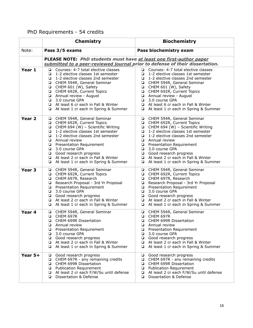# PhD Requirements - 54 credits

|                   | <b>Chemistry</b><br><b>Biochemistry</b>                                                                                                                                                                                                                                                                                                                                        |                                                                                                                                                                                                                                                                                                                                                                                      |  |
|-------------------|--------------------------------------------------------------------------------------------------------------------------------------------------------------------------------------------------------------------------------------------------------------------------------------------------------------------------------------------------------------------------------|--------------------------------------------------------------------------------------------------------------------------------------------------------------------------------------------------------------------------------------------------------------------------------------------------------------------------------------------------------------------------------------|--|
| Note:             | Pass 3/5 exams                                                                                                                                                                                                                                                                                                                                                                 | Pass biochemistry exam                                                                                                                                                                                                                                                                                                                                                               |  |
|                   | PLEASE NOTE: PhD students must have at least one first-author paper<br>submitted to a peer-reviewed journal prior to defense of their dissertation.                                                                                                                                                                                                                            |                                                                                                                                                                                                                                                                                                                                                                                      |  |
| Year 1            | Courses: 4-7 total elective classes<br>❏<br>1-2 elective classes 1st semester<br>$\Box$ 1-2 elective classes 2nd semester<br>CHEM 594R, General Seminar<br>▫<br>CHEM 601 (W), Safety<br>⊔<br>CHEM 692R, Current Topics<br>▫<br>Annual review - August<br>□ 3.0 course GPA<br>At least 6 cr each in Fall & Winter<br>❏<br>At least 1 cr each in Spring & Summer<br>❏            | Courses: 4-7 total elective classes<br>1-2 elective classes 1st semester<br>▫<br>1-2 elective classes 2nd semester<br>▫<br>CHEM 594R, General Seminar<br>CHEM 601 (W), Safety<br>CHEM 692R, Current Topics<br>Annual review - August<br>$\Box$<br>3.0 course GPA<br>At least 6 cr each in Fall & Winter<br>❏<br>At least 1 cr each in Spring & Summer<br>Q.                          |  |
| Year <sub>2</sub> | CHEM 594R, General Seminar<br>┙<br>CHEM 692R, Current Topics<br>CHEM 694 (W) - Scientific Writing<br>1-2 elective classes 1st semester<br>$\Box$ 1-2 elective classes 2nd semester<br>Annual review<br><b>D</b> Presentation Requirement<br>3.0 course GPA<br>❏<br>Good research progress<br>At least 2 cr each in Fall & Winter<br>At least 1 cr each in Spring & Summer<br>❏ | CHEM 594R, General Seminar<br>CHEM 692R, Current Topics<br>CHEM 694 (W) - Scientific Writing<br>1-2 elective classes 1st semester<br>❏<br>1-2 elective classes 2nd semester<br>❏<br>❏<br>Annual review<br><b>Presentation Requirement</b><br>❏<br>3.0 course GPA<br>❏<br>Good research progress<br>❏<br>At least 2 cr each in Fall & Winter<br>At least 1 cr each in Spring & Summer |  |
| Year <sub>3</sub> | CHEM 594R, General Seminar<br>CHEM 692R, Current Topics<br>▫<br>CHEM 697R, Research<br>❏<br>Research Proposal - 3rd Yr Proposal<br><b>D</b> Presentation Requirement<br>3.0 course GPA<br>❏<br>Good research progress<br>At least 2 cr each in Fall & Winter<br>At least 1 cr each in Spring & Summer<br>❏                                                                     | CHEM 594R, General Seminar<br>CHEM 692R, Current Topics<br>CHEM 697R, Research<br>Q.<br>Research Proposal - 3rd Yr Proposal<br><b>D</b> Presentation Requirement<br>3.0 course GPA<br>❏<br>Good research progress<br>At least 2 cr each in Fall & Winter<br>❏<br>At least 1 cr each in Spring & Summer<br>❏                                                                          |  |
| Year 4            | CHEM 594R, General Seminar<br>▫<br>CHEM 697R<br>❏<br>❏<br>CHEM 699R Dissertation<br>Annual review<br>▫<br><b>Presentation Requirement</b><br>▫<br>3.0 course GPA<br>⊔<br>Good research progress<br>▫<br>At least 2 cr each in Fall & Winter<br>▫<br>At least 1 cr each in Spring & Summer<br>❏                                                                                 | CHEM 594R, General Seminar<br>▫<br>CHEM 697R<br>❏<br>CHEM 699R Dissertation<br>❏<br>Annual review<br>⊔<br><b>Presentation Requirement</b><br>▫<br>3.0 course GPA<br>⊔<br>Good research progress<br>⊔<br>At least 2 cr each in Fall & Winter<br>❏<br>At least 1 cr each in Spring & Summer<br>❏                                                                                       |  |
| Year 5+           | Good research progress<br>❏<br>CHEM 697R - any remaining credits<br>$\Box$<br>CHEM 699R Dissertation<br>▫<br><b>Publication Requirement</b><br>❏<br>At least 2 cr each F/W/Su until defense<br>▫<br>Dissertation & Defense<br>❏                                                                                                                                                | Good research progress<br>o<br>CHEM 697R - any remaining credits<br>▫<br>CHEM 699R Dissertation<br>❏<br><b>Publication Requirement</b><br>o<br>At least 2 cr each F/W/Su until defense<br>❏<br>Dissertation & Defense<br>❏                                                                                                                                                           |  |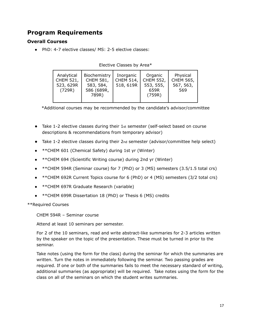# **Program Requirements**

## **Overall Courses**

● PhD: 4-7 elective classes/ MS: 2-5 elective classes:

| Analytical<br><b>CHEM 521,</b><br>523, 629R<br>(729R) | Biochemistry<br><b>CHEM 581,</b><br>583, 584,<br>586 (689R,<br>789R) | Inorganic<br><b>CHEM 514,</b><br>518, 619R | Organic<br><b>CHEM 552,</b><br>553, 555,<br>659R<br>(759R) | Physical<br><b>CHEM 565,</b><br>567, 563,<br>569 |
|-------------------------------------------------------|----------------------------------------------------------------------|--------------------------------------------|------------------------------------------------------------|--------------------------------------------------|
|-------------------------------------------------------|----------------------------------------------------------------------|--------------------------------------------|------------------------------------------------------------|--------------------------------------------------|

Elective Classes by Area\*

\*Additional courses may be recommended by the candidate's advisor/committee

- Take 1-2 elective classes during their 1st semester (self-select based on course descriptions & recommendations from temporary advisor)
- Take 1-2 elective classes during their 2nd semester (advisor/committee help select)
- \*\*CHEM 601 (Chemical Safety) during 1st yr (Winter)
- \*\*CHEM 694 (Scientific Writing course) during 2nd yr (Winter)
- \*\*CHEM 594R (Seminar course) for 7 (PhD) or 3 (MS) semesters (3.5/1.5 total crs)
- \*\*CHEM 692R Current Topics course for 6 (PhD) or 4 (MS) semesters (3/2 total crs)
- **\*\*CHEM 697R Graduate Research (variable)**
- \*\* CHEM 699R Dissertation 18 (PhD) or Thesis 6 (MS) credits

\*\*Required Courses

CHEM 594R – Seminar course

Attend at least 10 seminars per semester.

For 2 of the 10 seminars, read and write abstract-like summaries for 2-3 articles written by the speaker on the topic of the presentation. These must be turned in prior to the seminar.

Take notes (using the form for the class) during the seminar for which the summaries are written. Turn the notes in immediately following the seminar. Two passing grades are required. If one or both of the summaries fails to meet the necessary standard of writing, additional summaries (as appropriate) will be required. Take notes using the form for the class on all of the seminars on which the student writes summaries.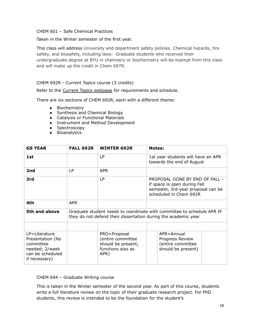#### CHEM 601 – Safe Chemical Practices

Taken in the Winter semester of the first year.

This class will address University and department safety policies. Chemical hazards, fire safety, and biosafety, including laws. Graduate students who received their undergraduate degree at BYU in chemistry or biochemistry will be exempt from this class and will make up the credit in Chem 697R.

#### CHEM 692R - Current Topics course (3 credits)

Refer to the Current Topics [webpage](https://chem.byu.edu/graduate-students/student-resources/current-topics-course-chem-692r/) for requirements and schedule.

There are six sections of CHEM 692R, each with a different theme:

- Biochemistry
- Synthesis and Chemical Biology
- Catalysis or Functional Materials
- Instrument and Method Development
- Spectroscopy
- Bioanalytics

| <b>GS YEAR</b>                                                                                            | <b>FALL 692R</b> | <b>WINTER 692R</b>                                                                   | <b>Notes:</b>                                                                                                                            |  |
|-----------------------------------------------------------------------------------------------------------|------------------|--------------------------------------------------------------------------------------|------------------------------------------------------------------------------------------------------------------------------------------|--|
| 1st                                                                                                       |                  | LP                                                                                   | 1st year students will have an APR<br>towards the end of August                                                                          |  |
| 2nd                                                                                                       | LP               | <b>APR</b>                                                                           |                                                                                                                                          |  |
| 3rd                                                                                                       |                  | <b>LP</b>                                                                            | PROPOSAL DONE BY END OF FALL -<br>if space is open during Fall<br>semester, 3rd-year proposal can be<br>scheduled in Chem 692R           |  |
| 4th                                                                                                       | <b>APR</b>       |                                                                                      |                                                                                                                                          |  |
| 5th and above                                                                                             |                  |                                                                                      | Graduate student needs to coordinate with committee to schedule APR IF<br>they do not defend their dissertation during the academic year |  |
|                                                                                                           |                  |                                                                                      |                                                                                                                                          |  |
| $LP = Literature$<br>Presentation (No<br>committee<br>needed; 2/week<br>can be scheduled<br>if necessary) |                  | PRO=Proposal<br>(entire committee<br>should be present;<br>functions also as<br>APR) | $APR = Annual$<br>Progress Review<br>(entire committee<br>should be present)                                                             |  |

CHEM 694 – Graduate Writing course

This is taken in the Winter semester of the second year. As part of this course, students write a full literature review on the topic of their graduate research project. For PhD students, this review is intended to be the foundation for the student's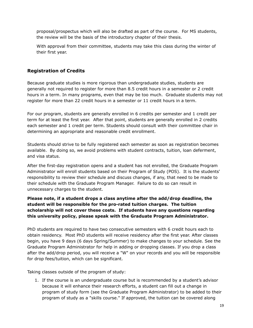proposal/prospectus which will also be drafted as part of the course. For MS students, the review will be the basis of the introductory chapter of their thesis.

With approval from their committee, students may take this class during the winter of their first year.

## **Registration of Credits**

Because graduate studies is more rigorous than undergraduate studies, students are generally not required to register for more than 8.5 credit hours in a semester or 2 credit hours in a term. In many programs, even that may be too much. Graduate students may not register for more than 22 credit hours in a semester or 11 credit hours in a term.

For our program, students are generally enrolled in 6 credits per semester and 1 credit per term for at least the first year. After that point, students are generally enrolled in 2 credits each semester and 1 credit per term. Students should consult with their committee chair in determining an appropriate and reasonable credit enrollment.

Students should strive to be fully registered each semester as soon as registration becomes available. By doing so, we avoid problems with student contracts, tuition, loan deferment, and visa status.

After the first-day registration opens and a student has not enrolled, the Graduate Program Administrator will enroll students based on their Program of Study (POS). It is the students' responsibility to review their schedule and discuss changes, if any, that need to be made to their schedule with the Graduate Program Manager. Failure to do so can result in unnecessary charges to the student.

## **Please note, if a student drops a class anytime after the add/drop deadline, the student will be responsible for the pro-rated tuition charges. The tuition scholarship will not cover these costs. If students have any questions regarding this university policy, please speak with the Graduate Program Administrator.**

PhD students are required to have two consecutive semesters with 6 credit hours each to obtain residency. Most PhD students will receive residency after the first year. After classes begin, you have 9 days (6 days Spring/Summer) to make changes to your schedule. See the Graduate Program Administrator for help in adding or dropping classes. If you drop a class after the add/drop period, you will receive a "W" on your records and you will be responsible for drop fees/tuition, which can be significant.

Taking classes outside of the program of study:

1. If the course is an undergraduate course but is recommended by a student's advisor because it will enhance their research efforts, a student can fill out a change in program of study form (see the Graduate Program Administrator) to be added to their program of study as a "skills course." If approved, the tuition can be covered along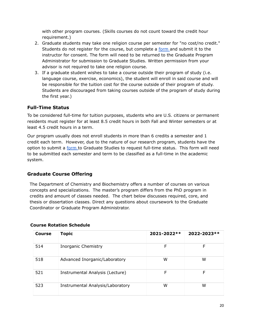with other program courses. (Skills courses do not count toward the credit hour requirement.)

- 2. Graduate students may take one religion course per semester for "no cost/no credit." Students do not register for the course, but complete a [form](https://gradstudies.byu.edu/file/nocostnocredit-religion-course-request-form) and submit it to the instructor for consent. The form will need to be returned to the Graduate Program Administrator for submission to Graduate Studies. Written permission from your advisor is not required to take one religion course.
- 3. If a graduate student wishes to take a course outside their program of study (i.e. language course, exercise, economics), the student will enroll in said course and will be responsible for the tuition cost for the course outside of their program of study. Students are discouraged from taking courses outside of the program of study during the first year.)

## **Full-Time Status**

To be considered full-time for tuition purposes, students who are U.S. citizens or permanent residents must register for at least 8.5 credit hours in both Fall and Winter semesters or at least 4.5 credit hours in a term.

Our program usually does not enroll students in more than 6 credits a semester and 1 credit each term. However, due to the nature of our research program, students have the option to submit a [form](https://gradstudies.byu.edu/file/graduate-fulltime-status-request-form) to Graduate Studies to request full-time status. This form will need to be submitted each semester and term to be classified as a full-time in the academic system.

## **Graduate Course Offering**

The Department of Chemistry and Biochemistry offers a number of courses on various concepts and specializations. The master's program differs from the PhD program in credits and amount of classes needed. The chart below discusses required, core, and thesis or dissertation classes. Direct any questions about coursework to the Graduate Coordinator or Graduate Program Administrator.

| <b>Course</b> | <b>Topic</b>                     | 2021-2022** | 2022-2023** |
|---------------|----------------------------------|-------------|-------------|
| 514           | Inorganic Chemistry              | F           | F           |
| 518           | Advanced Inorganic/Laboratory    | w           | w           |
| 521           | Instrumental Analysis (Lecture)  | F           | F           |
| 523           | Instrumental Analysis/Laboratory | w           | w           |

#### **Course Rotation Schedule**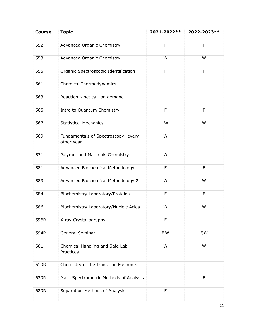| <b>Course</b> | <b>Topic</b>                                      | 2021-2022** | 2022-2023** |
|---------------|---------------------------------------------------|-------------|-------------|
| 552           | Advanced Organic Chemistry                        | F           | F           |
| 553           | <b>Advanced Organic Chemistry</b>                 | W           | W           |
| 555           | Organic Spectroscopic Identification              | F           | F           |
| 561           | Chemical Thermodynamics                           |             |             |
| 563           | Reaction Kinetics - on demand                     |             |             |
| 565           | Intro to Quantum Chemistry                        | F           | F           |
| 567           | <b>Statistical Mechanics</b>                      | W           | W           |
| 569           | Fundamentals of Spectroscopy -every<br>other year | W           |             |
| 571           | Polymer and Materials Chemistry                   | W           |             |
| 581           | Advanced Biochemical Methodology 1                | F           | F           |
| 583           | Advanced Biochemical Methodology 2                | W           | W           |
| 584           | Biochemistry Laboratory/Proteins                  | F           | F           |
| 586           | Biochemistry Laboratory/Nucleic Acids             | W           | W           |
| 596R          | X-ray Crystallography                             | F           |             |
| 594R          | General Seminar                                   | F,W         | F,W         |
| 601           | Chemical Handling and Safe Lab<br>Practices       | W           | W           |
| 619R          | Chemistry of the Transition Elements              |             |             |
| 629R          | Mass Spectrometric Methods of Analysis            |             | F           |
| 629R          | Separation Methods of Analysis                    | F           |             |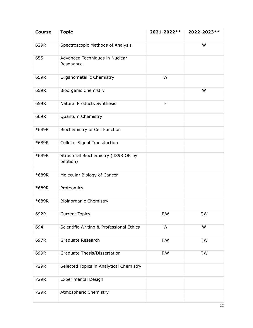| <b>Course</b> | <b>Topic</b>                                     | 2021-2022** | 2022-2023** |
|---------------|--------------------------------------------------|-------------|-------------|
| 629R          | Spectroscopic Methods of Analysis                |             | W           |
| 655           | Advanced Techniques in Nuclear<br>Resonance      |             |             |
| 659R          | Organometallic Chemistry                         | W           |             |
| 659R          | <b>Bioorganic Chemistry</b>                      |             | W           |
| 659R          | Natural Products Synthesis                       | F           |             |
| 669R          | Quantum Chemistry                                |             |             |
| *689R         | Biochemistry of Cell Function                    |             |             |
| *689R         | <b>Cellular Signal Transduction</b>              |             |             |
| *689R         | Structural Biochemistry (489R OK by<br>petition) |             |             |
| *689R         | Molecular Biology of Cancer                      |             |             |
| *689R         | Proteomics                                       |             |             |
| *689R         | <b>Bioinorganic Chemistry</b>                    |             |             |
| 692R          | <b>Current Topics</b>                            | F,W         | F,W         |
| 694           | Scientific Writing & Professional Ethics         | W           | W           |
| 697R          | Graduate Research                                | F,W         | F,W         |
| 699R          | Graduate Thesis/Dissertation                     | F, W        | F,W         |
| 729R          | Selected Topics in Analytical Chemistry          |             |             |
| 729R          | <b>Experimental Design</b>                       |             |             |
| 729R          | Atmospheric Chemistry                            |             |             |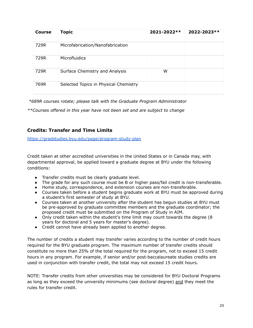| <b>Course</b> | <b>Topic</b>                          | $2021 - 2022**$ | 2022-2023** |
|---------------|---------------------------------------|-----------------|-------------|
| 729R          | Microfabrication/Nanofabrication      |                 |             |
| 729R          | Microfluidics                         |                 |             |
| 729R          | Surface Chemistry and Analysis        | W               |             |
| 769R          | Selected Topics in Physical Chemistry |                 |             |

*\*689R courses rotate; please talk with the Graduate Program Administrator*

*\*\*Courses offered in this year have not been set and are subject to change*

## **Credits: Transfer and Time Limits**

<https://gradstudies.byu.edu/page/program-study-plan>

Credit taken at other accredited universities in the United States or in Canada may, with departmental approval, be applied toward a graduate degree at BYU under the following conditions:

- Transfer credits must be clearly graduate level.
- The grade for any such course must be B or higher pass/fail credit is non-transferable.
- Home study, correspondence, and extension courses are non-transferable.
- Courses taken before a student begins graduate work at BYU must be approved during a student's first semester of study at BYU.
- Courses taken at another university after the student has begun studies at BYU must be pre-approved by graduate committee members and the graduate coordinator; the proposed credit must be submitted on the Program of Study in AIM.
- Only credit taken within the student's time limit may count towards the degree (8 years for doctoral and 5 years for master's degree).
- Credit cannot have already been applied to another degree.

The number of credits a student may transfer varies according to the number of credit hours required for the BYU graduate program. The maximum number of transfer credits should constitute no more than 25% of the total required for the program, not to exceed 15 credit hours in any program. For example, if senior and/or post-baccalaureate studies credits are used in conjunction with transfer credit, the total may not exceed 15 credit hours.

NOTE: Transfer credits from other universities may be considered for BYU Doctoral Programs as long as they exceed the university minimums (see doctoral degree) and they meet the rules for transfer credit.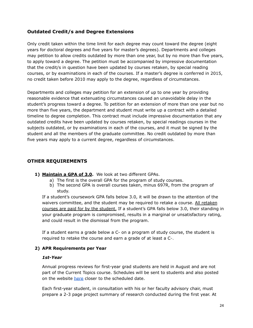## **Outdated Credit/s and Degree Extensions**

Only credit taken within the time limit for each degree may count toward the degree (eight years for doctoral degrees and five years for master's degrees). Departments and colleges may petition to allow credits outdated by more than one year, but by no more than five years, to apply toward a degree. The petition must be accompanied by impressive documentation that the credit/s in question have been updated by courses retaken, by special reading courses, or by examinations in each of the courses. If a master's degree is conferred in 2015, no credit taken before 2010 may apply to the degree, regardless of circumstances.

Departments and colleges may petition for an extension of up to one year by providing reasonable evidence that extenuating circumstances caused an unavoidable delay in the student's progress toward a degree. To petition for an extension of more than one year but no more than five years, the department and student must write up a contract with a detailed timeline to degree completion. This contract must include impressive documentation that any outdated credits have been updated by courses retaken, by special readings courses in the subjects outdated, or by examinations in each of the courses, and it must be signed by the student and all the members of the graduate committee. No credit outdated by more than five years may apply to a current degree, regardless of circumstances.

## **OTHER REQUIREMENTS**

- **1) Maintain a GPA of 3.0.** We look at two different GPAs.
	- a) The first is the overall GPA for the program of study courses.
	- b) The second GPA is overall courses taken, minus 697R, from the program of study.

If a student's coursework GPA falls below 3.0, it will be drawn to the attention of the waivers committee, and the student may be required to retake a course. All retaken courses are paid for by the student. If a student's GPA falls below 3.0, their standing in your graduate program is compromised, results in a marginal or unsatisfactory rating, and could result in the dismissal from the program.

If a student earns a grade below a C- on a program of study course, the student is required to retake the course and earn a grade of at least a C-.

#### **2) APR Requirements per Year**

#### *1st-Year*

Annual progress reviews for first-year grad students are held in August and are not part of the Current Topics course. Schedules will be sent to students and also posted on the website [here](https://www.chem.byu.edu/graduate-students/program-information/graduate-student-handbook/annual-progress-reviews/) closer to the scheduled date.

Each first-year student, in consultation with his or her faculty advisory chair, must prepare a 2-3 page project summary of research conducted during the first year. At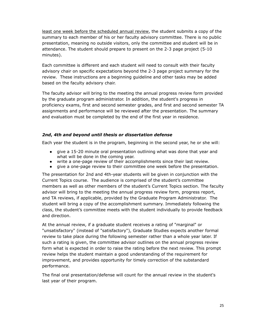least one week before the scheduled annual review, the student submits a copy of the summary to each member of his or her faculty advisory committee. There is no public presentation, meaning no outside visitors, only the committee and student will be in attendance. The student should prepare to present on the 2-3 page project (5-10 minutes).

Each committee is different and each student will need to consult with their faculty advisory chair on specific expectations beyond the 2-3 page project summary for the review. These instructions are a beginning guideline and other tasks may be added based on the faculty advisory chair.

The faculty advisor will bring to the meeting the annual progress review form provided by the graduate program administrator. In addition, the student's progress in proficiency exams, first and second semester grades, and first and second semester TA assignments and performance will be reviewed after the presentation. The summary and evaluation must be completed by the end of the first year in residence.

#### *2nd***,** *4th and beyond until thesis or dissertation defense*

Each year the student is in the program, beginning in the second year, he or she will:

- give a 15-20 minute oral presentation outlining what was done that year and what will be done in the coming year.
- write a one-page review of their accomplishments since their last review.
- give a one-page review to their committee one week before the presentation.

The presentation for 2nd and 4th-year students will be given in conjunction with the Current Topics course. The audience is comprised of the student's committee members as well as other members of the student's Current Topics section. The faculty advisor will bring to the meeting the annual progress review form, progress report, and TA reviews, if applicable, provided by the Graduate Program Administrator. The student will bring a copy of the accomplishment summary. Immediately following the class, the student's committee meets with the student individually to provide feedback and direction.

At the annual review, if a graduate student receives a rating of "marginal" or "unsatisfactory" (instead of "satisfactory"), Graduate Studies expects another formal review to take place during the following semester rather than a whole year later. If such a rating is given, the committee advisor outlines on the annual progress review form what is expected in order to raise the rating before the next review. This prompt review helps the student maintain a good understanding of the requirement for improvement, and provides opportunity for timely correction of the substandard performance.

The final oral presentation/defense will count for the annual review in the student's last year of their program.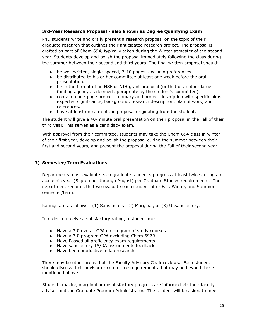#### **3rd-Year Research Proposal - also known as Degree Qualifying Exam**

PhD students write and orally present a research proposal on the topic of their graduate research that outlines their anticipated research project. The proposal is drafted as part of Chem 694, typically taken during the Winter semester of the second year. Students develop and polish the proposal immediately following the class during the summer between their second and third years. The final written proposal should:

- be well written, single-spaced, 7-10 pages, excluding references.
- be distributed to his or her committee at least one week before the oral presentation.
- be in the format of an NSF or NIH grant proposal (or that of another large funding agency as deemed appropriate by the student's committee).
- contain a one-page project summary and project description with specific aims, expected significance, background, research description, plan of work, and references.
- have at least one aim of the proposal originating from the student.

The student will give a 40-minute oral presentation on their proposal in the Fall of their third year. This serves as a candidacy exam.

With approval from their committee, students may take the Chem 694 class in winter of their first year, develop and polish the proposal during the summer between their first and second years, and present the proposal during the Fall of their second year.

#### **3) Semester/Term Evaluations**

Departments must evaluate each graduate student's progress at least twice during an academic year (September through August) per Graduate Studies requirements. The department requires that we evaluate each student after Fall, Winter, and Summer semester/term.

Ratings are as follows - (1) Satisfactory, (2) Marginal, or (3) Unsatisfactory.

In order to receive a satisfactory rating, a student must:

- Have a 3.0 overall GPA on program of study courses
- Have a 3.0 program GPA excluding Chem 697R
- Have Passed all proficiency exam requirements
- Have satisfactory TA/RA assignments feedback
- Have been productive in lab research

There may be other areas that the Faculty Advisory Chair reviews. Each student should discuss their advisor or committee requirements that may be beyond those mentioned above.

Students making marginal or unsatisfactory progress are informed via their faculty advisor and the Graduate Program Administrator. The student will be asked to meet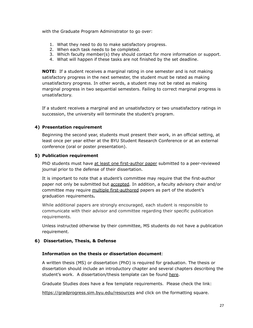with the Graduate Program Administrator to go over:

- 1. What they need to do to make satisfactory progress.
- 2. When each task needs to be completed.
- 3. Which faculty member(s) they should contact for more information or support.
- 4. What will happen if these tasks are not finished by the set deadline.

**NOTE:** If a student receives a marginal rating in one semester and is not making satisfactory progress in the next semester, the student must be rated as making unsatisfactory progress. In other words, a student may not be rated as making marginal progress in two sequential semesters. Failing to correct marginal progress is unsatisfactory.

If a student receives a marginal and an unsatisfactory or two unsatisfactory ratings in succession, the university will terminate the student's program.

#### **4) Presentation requirement**

Beginning the second year, students must present their work, in an official setting, at least once per year either at the BYU Student Research Conference or at an external conference (oral or poster presentation).

#### **5) Publication requirement**

PhD students must have at least one first-author paper submitted to a peer-reviewed journal prior to the defense of their dissertation.

It is important to note that a student's committee may require that the first-author paper not only be submitted but accepted. In addition, a faculty advisory chair and/or committee may require multiple first-authored papers as part of the student's graduation requirements**.**

While additional papers are strongly encouraged, each student is responsible to communicate with their advisor and committee regarding their specific publication requirements.

Unless instructed otherwise by their committee, MS students do not have a publication requirement.

#### **6) Dissertation, Thesis, & Defense**

#### **Information on the thesis or dissertation document**:

A written thesis (MS) or dissertation (PhD) is required for graduation. The thesis or dissertation should include an introductory chapter and several chapters describing the student's work. A dissertation/thesis template can be found [here.](https://chem.byu.edu/graduate-students/student-resources/preparing-to-graduate/)

Graduate Studies does have a few template requirements. Please check the link:

<https://gradprogress.sim.byu.edu/resources> and click on the formatting square.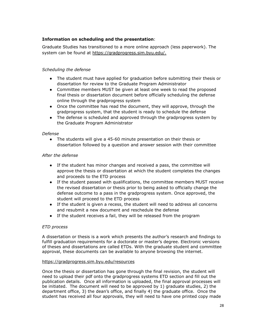#### **Information on scheduling and the presentation**:

Graduate Studies has transitioned to a more online approach (less paperwork). The system can be found at [https://gradprogress.sim.byu.edu/.](https://gradprogress.sim.byu.edu/)

#### *Scheduling the defense*

- The student must have applied for graduation before submitting their thesis or dissertation for review to the Graduate Program Administrator
- Committee members MUST be given at least one week to read the proposed final thesis or dissertation document before officially scheduling the defense online through the gradprogress system
- Once the committee has read the document, they will approve, through the gradprogress system, that the student is ready to schedule the defense
- The defense is scheduled and approved through the gradprogress system by the Graduate Program Administrator

#### *Defense*

● The students will give a 45-60 minute presentation on their thesis or dissertation followed by a question and answer session with their committee

#### *After the defense*

- If the student has minor changes and received a pass, the committee will approve the thesis or dissertation at which the student completes the changes and proceeds to the ETD process
- If the student passed with qualifications, the committee members MUST receive the revised dissertation or thesis prior to being asked to officially change the defense outcome to a pass in the gradprogress system. Once approved, the student will proceed to the ETD process
- If the student is given a recess, the student will need to address all concerns and resubmit a new document and reschedule the defense
- If the student receives a fail, they will be released from the program

#### *ETD process*

A dissertation or thesis is a work which presents the author's research and findings to fulfill graduation requirements for a doctorate or master's degree. Electronic versions of theses and dissertations are called ETDs. With the graduate student and committee approval, these documents can be available to anyone browsing the internet.

#### <https://gradprogress.sim.byu.edu/resources>

Once the thesis or dissertation has gone through the final revision, the student will need to upload their pdf onto the gradprogress systems ETD section and fill out the publication details. Once all information is uploaded, the final approval processes will be initiated. The document will need to be approved by 1) graduate studies, 2) the department office, 3) the dean's office, and finally 4) the graduate office. Once the student has received all four approvals, they will need to have one printed copy made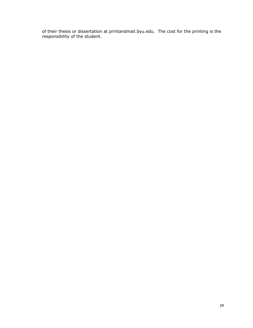of their thesis or dissertation at printandmail.byu.edu. The cost for the printing is the responsibility of the student.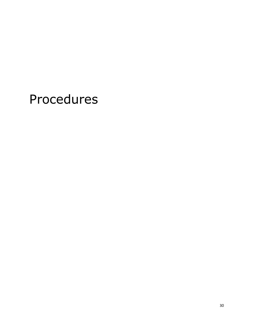# Procedures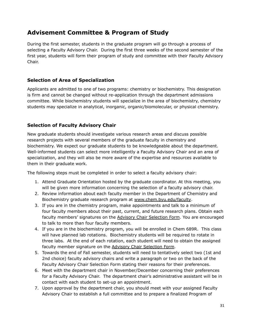# **Advisement Committee & Program of Study**

During the first semester, students in the graduate program will go through a process of selecting a Faculty Advisory Chair. During the first three weeks of the second semester of the first year, students will form their program of study and committee with their Faculty Advisory Chair.

## **Selection of Area of Specialization**

Applicants are admitted to one of two programs: chemistry or biochemistry. This designation is firm and cannot be changed without re-application through the department admissions committee. While biochemistry students will specialize in the area of biochemistry, chemistry students may specialize in analytical, inorganic, organic/biomolecular, or physical chemistry.

## **Selection of Faculty Advisory Chair**

New graduate students should investigate various research areas and discuss possible research projects with several members of the graduate faculty in chemistry and biochemistry. We expect our graduate students to be knowledgeable about the department. Well-informed students can select more intelligently a Faculty Advisory Chair and an area of specialization, and they will also be more aware of the expertise and resources available to them in their graduate work.

The following steps must be completed in order to select a faculty advisory chair:

- 1. Attend Graduate Orientation hosted by the graduate coordinator. At this meeting, you will be given more information concerning the selection of a faculty advisory chair.
- 2. Review information about each faculty member in the Department of Chemistry and Biochemistry graduate research program at [www.chem.byu.edu/faculty](https://chem.byu.edu/faculty/).
- 3. If you are in the chemistry program, make appointments and talk to a minimum of four faculty members about their past, current, and future research plans. Obtain each faculty members' signatures on the Advisory Chair [Selection](https://chem.byu.edu/static/media/uploads/other/advisory_chair_selection_form.pdf) Form. You are encouraged to talk to more than four faculty members.
- 4. If you are in the biochemistry program, you will be enrolled in Chem 689R. This class will have planned lab rotations. Biochemistry students will be required to rotate in three labs. At the end of each rotation, each student will need to obtain the assigned faculty member signature on the Advisory Chair [Selection](https://chem.byu.edu/static/media/uploads/other/advisory_chair_selection_form.pdf) Form.
- 5. Towards the end of Fall semester, students will need to tentatively select two (1st and 2nd choice) faculty advisory chairs and write a paragraph or two on the back of the Faculty Advisory Chair Selection Form stating their reasons for their preferences.
- 6. Meet with the department chair in November/December concerning their preferences for a Faculty Advisory Chair. The department chair's administrative assistant will be in contact with each student to set-up an appointment.
- 7. Upon approval by the department chair, you should meet with your assigned Faculty Advisory Chair to establish a full committee and to prepare a finalized Program of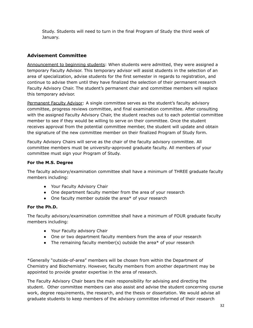Study. Students will need to turn in the final Program of Study the third week of January.

## **Advisement Committee**

Announcement to beginning students: When students were admitted, they were assigned a temporary Faculty Advisor. This temporary advisor will assist students in the selection of an area of specialization, advise students for the first semester in regards to registration, and continue to advise them until they have finalized the selection of their permanent research Faculty Advisory Chair. The student's permanent chair and committee members will replace this temporary advisor.

Permanent Faculty Advisor: A single committee serves as the student's faculty advisory committee, progress reviews committee, and final examination committee. After consulting with the assigned Faculty Advisory Chair, the student reaches out to each potential committee member to see if they would be willing to serve on their committee. Once the student receives approval from the potential committee member, the student will update and obtain the signature of the new committee member on their finalized Program of Study form.

Faculty Advisory Chairs will serve as the chair of the faculty advisory committee. All committee members must be university-approved graduate faculty. All members of your committee must sign your Program of Study.

#### **For the M.S. Degree**

The faculty advisory/examination committee shall have a minimum of THREE graduate faculty members including:

- Your Faculty Advisory Chair
- One department faculty member from the area of your research
- One faculty member outside the area\* of your research

#### **For the Ph.D.**

The faculty advisory/examination committee shall have a minimum of FOUR graduate faculty members including:

- Your Faculty advisory Chair
- One or two department faculty members from the area of your research
- The remaining faculty member(s) outside the area\* of your research

\*Generally "outside-of-area" members will be chosen from within the Department of Chemistry and Biochemistry. However, faculty members from another department may be appointed to provide greater expertise in the area of research.

The Faculty Advisory Chair bears the main responsibility for advising and directing the student. Other committee members can also assist and advise the student concerning course work, degree requirements, the research, and the thesis or dissertation. We would advise all graduate students to keep members of the advisory committee informed of their research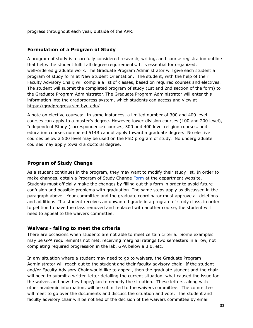progress throughout each year, outside of the APR.

## **Formulation of a Program of Study**

A program of study is a carefully considered research, writing, and course registration outline that helps the student fulfill all degree requirements. It is essential for organized, well-ordered graduate work. The Graduate Program Administrator will give each student a program of study form at New Student Orientation. The student, with the help of their Faculty Advisory Chair, will compile a list of classes, based on required courses and electives. The student will submit the completed program of study (1st and 2nd section of the form) to the Graduate Program Administrator. The Graduate Program Administrator will enter this information into the gradprogress system, which students can access and view at <https://gradprogress.sim.byu.edu/>.

A note on elective courses: In some instances, a limited number of 300 and 400 level courses can apply to a master's degree. However, lower-division courses (100 and 200 level), Independent Study (correspondence) courses, 300 and 400 level religion courses, and education courses numbered 514R cannot apply toward a graduate degree. No elective courses below a 500 level may be used on the PhD program of study. No undergraduate courses may apply toward a doctoral degree.

## **Program of Study Change**

As a student continues in the program, they may want to modify their study list. In order to make changes, obtain a Program of Study Change [Form](https://www.chem.byu.edu/static/media/uploads/program_of_study_change_form-updated.pdf) at the department website. Students must officially make the changes by filling out this form in order to avoid future confusion and possible problems with graduation. The same steps apply as discussed in the paragraph above. Your committee and the graduate coordinator must approve all deletions and additions. If a student receives an unwanted grade in a program of study class, in order to petition to have the class removed and replaced with another course, the student will need to appeal to the waivers committee.

## **Waivers - failing to meet the criteria**

There are occasions when students are not able to meet certain criteria. Some examples may be GPA requirements not met, receiving marginal ratings two semesters in a row, not completing required progression in the lab, GPA below a 3.0, etc.

In any situation where a student may need to go to waivers, the Graduate Program Administrator will reach out to the student and their faculty advisory chair. If the student and/or Faculty Advisory Chair would like to appeal, then the graduate student and the chair will need to submit a written letter detailing the current situation, what caused the issue for the waiver, and how they hope/plan to remedy the situation. These letters, along with other academic information, will be submitted to the waivers committee. The committee will meet to go over the documents and discuss the situation and vote. The student and faculty advisory chair will be notified of the decision of the waivers committee by email.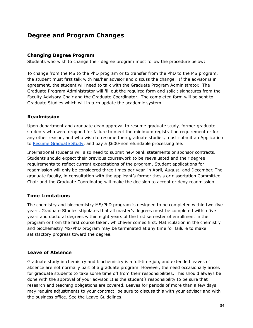# **Degree and Program Changes**

#### **Changing Degree Program**

Students who wish to change their degree program must follow the procedure below:

To change from the MS to the PhD program or to transfer from the PhD to the MS program, the student must first talk with his/her advisor and discuss the change. If the advisor is in agreement, the student will need to talk with the Graduate Program Administrator. The Graduate Program Administrator will fill out the required form and solicit signatures from the Faculty Advisory Chair and the Graduate Coordinator. The completed form will be sent to Graduate Studies which will in turn update the academic system.

#### **Readmission**

Upon department and graduate dean approval to resume graduate study, former graduate students who were dropped for failure to meet the minimum registration requirement or for any other reason, and who wish to resume their graduate studies, must submit an Application to Resume [Graduate](https://gradstudies.byu.edu/file/application-resume-graduate-study) Study, and pay a \$600-nonrefundable processing fee.

International students will also need to submit new bank statements or sponsor contracts. Students should expect their previous coursework to be reevaluated and their degree requirements to reflect current expectations of the program. Student applications for readmission will only be considered three times per year, in April, August, and December. The graduate faculty, in consultation with the applicant's former thesis or dissertation Committee Chair and the Graduate Coordinator, will make the decision to accept or deny readmission.

## **Time Limitations**

The chemistry and biochemistry MS/PhD program is designed to be completed within two-five years. Graduate Studies stipulates that all master's degrees must be completed within five years and doctoral degrees within eight years of the first semester of enrollment in the program or from the first course taken, whichever comes first. Matriculation in the chemistry and biochemistry MS/PhD program may be terminated at any time for failure to make satisfactory progress toward the degree.

## **Leave of Absence**

Graduate study in chemistry and biochemistry is a full-time job, and extended leaves of absence are not normally part of a graduate program. However, the need occasionally arises for graduate students to take some time off from their responsibilities. This should always be done with the approval of your advisor. It is the student's responsibility to be sure that research and teaching obligations are covered. Leaves for periods of more than a few days may require adjustments to your contract; be sure to discuss this with your advisor and with the business office. See the Leave [Guidelines](https://chem.byu.edu/static/media/uploads/__graduate_student_absence_guidelines-approved_02.07.2019_final_dvd.pdf).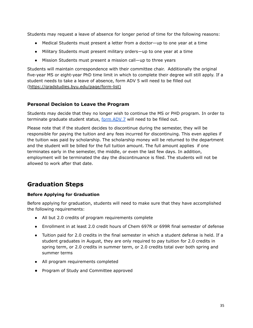Students may request a leave of absence for longer period of time for the following reasons:

- **●** Medical Students must present a letter from a doctor—up to one year at a time
- **●** Military Students must present military orders—up to one year at a time
- **●** Mission Students must present a mission call—up to three years

Students will maintain correspondence with their committee chair. Additionally the original five-year MS or eight-year PhD time limit in which to complete their degree will still apply. If a student needs to take a leave of absence, form ADV 5 will need to be filled out ([https://gradstudies.byu.edu/page/form-list\)](https://gradstudies.byu.edu/page/form-list)

#### **Personal Decision to Leave the Program**

Students may decide that they no longer wish to continue the MS or PHD program. In order to terminate graduate student status, [form](https://gradstudies.byu.edu/file/expire-terminate-graduate-status-dept-request) ADV 7 will need to be filled out.

Please note that if the student decides to discontinue during the semester, they will be responsible for paying the tuition and any fees incurred for discontinuing. This even applies if the tuition was paid by scholarship. The scholarship money will be returned to the department and the student will be billed for the full tuition amount. The full amount applies if one terminates early in the semester, the middle, or even the last few days. In addition, employment will be terminated the day the discontinuance is filed. The students will not be allowed to work after that date.

# **Graduation Steps**

#### **Before Applying for Graduation**

Before applying for graduation, students will need to make sure that they have accomplished the following requirements:

- All but 2.0 credits of program requirements complete
- Enrollment in at least 2.0 credit hours of Chem 697R or 699R final semester of defense
- Tuition paid for 2.0 credits in the final semester in which a student defense is held. If a student graduates in August, they are only required to pay tuition for 2.0 credits in spring term, or 2.0 credits in summer term, or 2.0 credits total over both spring and summer terms
- All program requirements completed
- Program of Study and Committee approved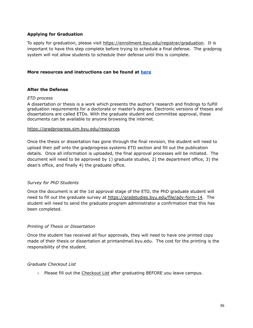#### **Applying for Graduation**

To apply for graduation, please visit [https://enrollment.byu.edu/registrar/graduation.](https://enrollment.byu.edu/registrar/graduation) It is important to have this step complete before trying to schedule a final defense. The gradprog system will not allow students to schedule their defense until this is complete.

#### **More resources and instructions can be found at [here](https://www.chem.byu.edu/static/media/uploads/defense_and_graduation.pdf)**

#### **After the Defense**

#### *ETD process*

A dissertation or thesis is a work which presents the author's research and findings to fulfill graduation requirements for a doctorate or master's degree. Electronic versions of theses and dissertations are called ETDs. With the graduate student and committee approval, these documents can be available to anyone browsing the internet.

#### <https://gradprogress.sim.byu.edu/resources>

Once the thesis or dissertation has gone through the final revision, the student will need to upload their pdf onto the gradprogress systems ETD section and fill out the publication details. Once all information is uploaded, the final approval processes will be initiated. The document will need to be approved by 1) graduate studies, 2) the department office, 3) the dean's office, and finally 4) the graduate office.

#### *Survey for PhD Students*

Once the document is at the 1st approval stage of the ETD, the PhD graduate student will need to fill out the graduate survey at <https://gradstudies.byu.edu/file/adv-form-14>. The student will need to send the graduate program administrator a confirmation that this has been completed.

#### *Printing of Thesis or Dissertation*

Once the student has received all four approvals, they will need to have one printed copy made of their thesis or dissertation at printandmail.byu.edu. The cost for the printing is the responsibility of the student.

#### *Graduate Checkout List*

○ Please fill out the [Checkout](https://chem.byu.edu/static/media/uploads/checkout_form-_new.pdf) List after graduating BEFORE you leave campus.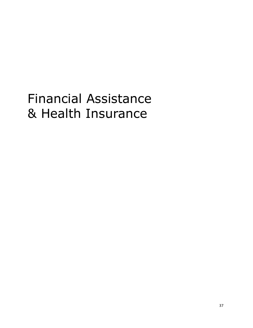# Financial Assistance & Health Insurance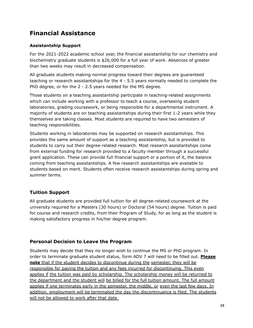# **Financial Assistance**

## **Assistantship Support**

For the 2021-2022 academic school year, the financial assistantship for our chemistry and biochemistry graduate students is \$26,000 for a full year of work. Absences of greater than two weeks may result in decreased compensation.

All graduate students making normal progress toward their degrees are guaranteed teaching or research assistantships for the 4 - 5.5 years normally needed to complete the PhD degree, or for the 2 - 2.5 years needed for the MS degree.

Those students on a teaching assistantship participate in teaching-related assignments which can include working with a professor to teach a course, overseeing student laboratories, grading coursework, or being responsible for a departmental instrument. A majority of students are on teaching assistantships during their first 1-2 years while they themselves are taking classes. Most students are required to have two semesters of teaching responsibilities.

Students working in laboratories may be supported on research assistantships. This provides the same amount of support as a teaching assistantship, but is provided to students to carry out their degree-related research. Most research assistantships come from external funding for research provided to a faculty member through a successful grant application. These can provide full financial support or a portion of it, the balance coming from teaching assistantships. A few research assistantships are available to students based on merit. Students often receive research assistantships during spring and summer terms.

## **Tuition Support**

All graduate students are provided full tuition for all degree-related coursework at the university required for a Masters (30 hours) or Doctoral (54 hours) degree. Tuition is paid for course and research credits, from their Program of Study, for as long as the student is making satisfactory progress in his/her degree program.

## **Personal Decision to Leave the Program**

Students may decide that they no longer wish to continue the MS or PhD program. In order to terminate graduate student status, form ADV 7 will need to be filled out. **Please note** that if the student decides to discontinue during the semester, they will be responsible for paying the tuition and any fees incurred for discontinuing. This even applies if the tuition was paid by scholarship. The scholarship money will be returned to the department and the student will be billed for the full tuition amount. The full amount applies if one terminates early in the semester, the middle, or even the last few days. In addition, employment will be terminated the day the discontinuance is filed. The students will not be allowed to work after that date.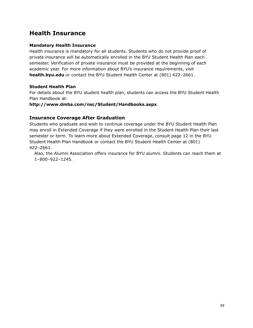# **Health Insurance**

#### **Mandatory Health Insurance**

Health insurance is mandatory for all students. Students who do not provide proof of private insurance will be automatically enrolled in the BYU Student Health Plan each semester. Verification of private insurance must be provided at the beginning of each academic year. For more information about BYU's insurance requirements, visit **health.byu.edu** or contact the BYU Student Health Center at (801) 422–2661.

#### **Student Health Plan**

For details about the BYU student health plan, students can access the BYU Student Health Plan Handbook at:

**<http://www.dmba.com/nsc/Student/Handbooks.aspx>**.

## **Insurance Coverage After Graduation**

Students who graduate and wish to continue coverage under the BYU Student Health Plan may enroll in Extended Coverage if they were enrolled in the Student Health Plan their last semester or term. To learn more about Extended Coverage, consult page 12 in the BYU Student Health Plan Handbook or contact the BYU Student Health Center at (801) 422–2661.

Also, the Alumni Association offers insurance for BYU alumni. Students can reach them at 1–800–922–1245.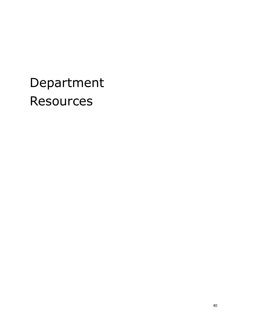# <span id="page-39-0"></span>Department **Resources**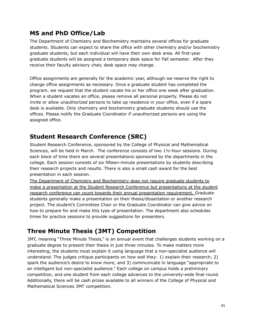# **MS and PhD Office/Lab**

The Department of Chemistry and Biochemistry maintains several offices for graduate students. Students can expect to share the office with other chemistry and/or biochemistry graduate students, but each individual will have their own desk area. All first-year graduate students will be assigned a temporary desk space for Fall semester. After they receive their faculty advisory chair, desk space may change.

Office assignments are generally for the academic year, although we reserve the right to change office assignments as necessary. Once a graduate student has completed the program, we request that the student vacate his or her office one week after graduation. When a student vacates an office, please remove all personal property. Please do not invite or allow unauthorized persons to take up residence in your office, even if a spare desk is available. Only chemistry and biochemistry graduate students should use the offices. Please notify the Graduate Coordinator if unauthorized persons are using the assigned office.

# **Student Research Conference (SRC)**

Student Research Conference, sponsored by the College of Physical and Mathematical Sciences, will be held in March. The conference consists of two 1½-hour sessions. During each block of time there are several presentations sponsored by the departments in the college. Each session consists of six fifteen-minute presentations by students describing their research projects and results. There is also a small cash award for the best presentation in each session.

The Department of Chemistry and Biochemistry does not require graduate students to make a presentation at the Student Research Conference but presentations at the student research conference can count towards their annual presentation requirement. Graduate students generally make a presentation on their thesis/dissertation or another research project. The student's Committee Chair or the Graduate Coordinator can give advice on how to prepare for and make this type of presentation. The department also schedules times for practice sessions to provide suggestions for presenters.

# **Three Minute Thesis (3MT) Competition**

3MT, meaning "Three Minute Thesis," is an annual event that challenges students working on a graduate degree to present their thesis in just three minutes. To make matters more interesting, the students must explain it using language that a non-specialist audience will understand. The judges critique participants on how well they: 1) explain their research; 2) spark the audience's desire to know more; and 3) communicate in language "appropriate to an intelligent but non-specialist audience." Each college on campus holds a preliminary competition, and one student from each college advances to the university-wide final round. Additionally, there will be cash prizes available to all winners of the College of Physical and Mathematical Sciences 3MT competition.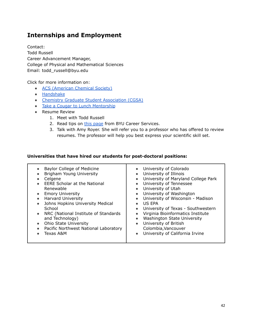# **Internships and Employment**

Contact: Todd Russell Career Advancement Manager, College of Physical and Mathematical Sciences Email: todd\_russell@byu.edu

Click for more information on:

- ACS [\(American](http://www.acs.org/content/acs/en/education/students/graduate.html) Chemical Society)
- [Handshake](http://handshake.byu.edu/)
- Chemistry Graduate Student [Association](https://chem.byu.edu/graduate-students/student-resources/chemistry-graduate-student-association-cgsa/) (CGSA)
- Take a Cougar to Lunch [Mentorship](http://alumni3.byu.edu/tactl/index.cfm)
- Resume Review
	- 1. Meet with Todd Russell
	- 2. Read tips on this [page](https://ucs.byu.edu/resumes) from BYU Career Services.
	- 3. Talk with Amy Royer. She will refer you to a professor who has offered to review resumes. The professor will help you best express your scientific skill set.

#### **Universities that have hired our students for post-doctoral positions:**

| Baylor College of Medicine<br>$\bullet$<br>Brigham Young University<br>Celgene<br><b>EERE Scholar at the National</b><br>$\bullet$<br>Renewable<br><b>Emory University</b><br>$\bullet$<br><b>Harvard University</b><br>$\bullet$<br>Johns Hopkins University Medical<br>$\bullet$<br>School<br>NRC (National Institute of Standards<br>$\bullet$<br>and Technology)<br>Ohio State University<br>$\bullet$<br>Pacific Northwest National Laboratory<br>$\bullet$<br>Texas A&M | • University of Colorado<br>University of Illinois<br>$\bullet$<br>University of Maryland College Park<br>$\bullet$<br>University of Tennessee<br>University of Utah<br>$\bullet$<br>University of Washington<br>$\bullet$<br>University of Wisconsin - Madison<br>US EPA<br>$\bullet$<br>University of Texas - Southwestern<br>Virginia Bioinformatics Institute<br>Washington State University<br>$\bullet$<br>University of British<br>$\bullet$<br>Colombia, Vancouver<br>University of California Irvine |
|-------------------------------------------------------------------------------------------------------------------------------------------------------------------------------------------------------------------------------------------------------------------------------------------------------------------------------------------------------------------------------------------------------------------------------------------------------------------------------|---------------------------------------------------------------------------------------------------------------------------------------------------------------------------------------------------------------------------------------------------------------------------------------------------------------------------------------------------------------------------------------------------------------------------------------------------------------------------------------------------------------|
|-------------------------------------------------------------------------------------------------------------------------------------------------------------------------------------------------------------------------------------------------------------------------------------------------------------------------------------------------------------------------------------------------------------------------------------------------------------------------------|---------------------------------------------------------------------------------------------------------------------------------------------------------------------------------------------------------------------------------------------------------------------------------------------------------------------------------------------------------------------------------------------------------------------------------------------------------------------------------------------------------------|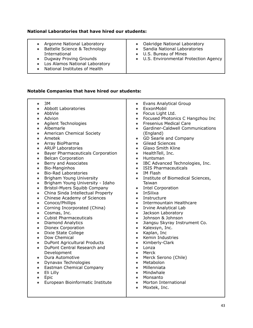#### **National Laboratories that have hired our students:**

- Argonne National Laboratory
- Battelle Science & Technology International
- Dugway Proving Grounds
- Los Alamos National Laboratory
- National Institutes of Health
- Oakridge National Laboratory
- Sandia National Laboratories
- U.S. Bureau of Mines
- U.S. Environmental Protection Agency

#### **Notable Companies that have hired our students:**

- $\bullet$  3M ● Abbott Laboratories ● AbbVie ● Advion ● Agilent Technologies ● Albemarle • American Chemical Society ● Ametek ● Array BioPharma ● ARUP Laboratories ● Bayer Pharmaceuticals Corporation ● Belcan Corporation ● Berry and Associates ● Bio-Manginhos ● Bio-Rad Laboratories • Brigham Young University ● Brigham Young University - Idaho ● Bristol-Myers Squibb Company • China Sinda Intellectual Property • Chinese Academy of Sciences ● Conoco/Phillips • Corning Incorporated (China) ● Cosmas, Inc. ● Cubist Pharmaceuticals ● Diamond Analytics ● Dionex Corporation ● Dixie State College ● Dow Chemical ● DuPont Agricultural Products ● DuPont Central Research and Development ● Dura Automotive ● Dynavax Technologies ● Evans Analytical Group ● ExxonMobil ● Focus Light Ltd. ● Focused Photonics C Hangzhou Inc ● Fresenius Medical Care ● Gardiner-Caldwell Communications (England) • GD Searle and Company ● Gilead Sciences • Glaxo Smith Kline ● HealthTell, Inc. ● Huntsman ● IBC Advanced Technologies, Inc. ● ISIS Pharmaceuticals ● IM Flash • Institute of Biomedical Sciences, Taiwan ● Intel Corporation ● InSilixa ● Instructure ● Intermountain Healthcare ● Irvine Analytical Lab ● Jackson Laboratory ● Johnson & Johnson ● Jiangsu Skyray Instrument Co. ● Kalexsyn, Inc. ● Kaplan, Inc ● Kemin Industries ● Kimberly-Clark ● Lonza ● Merck • Merck Serono (Chile) ● Metabolon
	- Eastman Chemical Company
	- Eli Lilly
	- Epic
	- European Bioinformatic Institute
- Millenniata
- Mindwhale
- Monsanto
- Morton International
- Moxtek, Inc.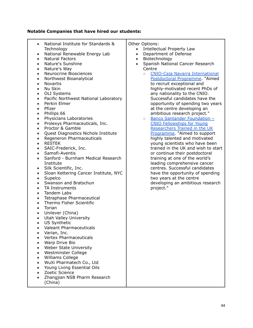## **Notable Companies that have hired our students:**

| $\bullet$              | National Institute for Standards &                 | Other Options:                                                     |
|------------------------|----------------------------------------------------|--------------------------------------------------------------------|
|                        | Technology                                         | Intellectual Property Law<br>$\bullet$                             |
| $\bullet$              | National Renewable Energy Lab                      | Department of Defense<br>$\bullet$                                 |
| $\bullet$              | <b>Natural Factors</b>                             | Biotechnology<br>$\bullet$                                         |
| $\bullet$              | Nature's Sunshine                                  | Spanish National Cancer Research<br>$\bullet$                      |
| $\bullet$              | Nature's Way                                       | Centre                                                             |
| $\bullet$              | Neurocrine Biosciences                             | <b>CNIO-Caja Navarra International</b><br>$\circ$                  |
| $\bullet$              | Northwest Bioanalytical                            | Postdoctoral Programme. "Aimed                                     |
| $\bullet$              | <b>Novartis</b>                                    | to recruit exceptional and                                         |
| $\bullet$              | Nu Skin                                            | highly-motivated recent PhDs of                                    |
| $\bullet$              | <b>OLI Systems</b>                                 | any nationality to the CNIO.                                       |
| $\bullet$              | Pacific Northwest National Laboratory              | Successful candidates have the                                     |
| $\bullet$              | Perkin Elmer                                       | opportunity of spending two years                                  |
| $\bullet$              | Pfizer                                             | at the centre developing an                                        |
| $\bullet$              | Phillips 66                                        | ambitious research project."                                       |
| $\bullet$              | Physicians Laboratories                            | Banco Santander Foundation -<br>$\bigcirc$                         |
| $\bullet$              | Prolexys Pharmaceuticals, Inc.<br>Proctor & Gamble | <b>CNIO Fellowships for Young</b><br>Researchers Trained in the UK |
| $\bullet$<br>$\bullet$ | Quest Diagnostics Nichols Institute                | Programme. "Aimed to support                                       |
| $\bullet$              | Regeneron Pharmaceuticals                          | highly talented and motivated                                      |
| $\bullet$              | <b>RESTEK</b>                                      | young scientists who have been                                     |
| $\bullet$              | SAIC-Frederick, Inc.                               | trained in the UK and wish to start                                |
| $\bullet$              | Samofi-Aventis                                     | or continue their postdoctoral                                     |
| $\bullet$              | Sanford - Burnham Medical Research                 | training at one of the world's                                     |
|                        | Institute                                          | leading comprehensive cancer                                       |
| $\bullet$              | Silk Scientific, Inc.                              | centres. Successful candidates                                     |
|                        | Sloan Kettering Cancer Institute, NYC              | have the opportunity of spending                                   |
| $\bullet$              | Supelco                                            | two years at the centre                                            |
| $\bullet$              | Swanson and Bratschun                              | developing an ambitious research                                   |
| $\bullet$              | TA Instruments                                     | project."                                                          |
| $\bullet$              | Tandem Labs                                        |                                                                    |
| $\bullet$              | Tetraphase Pharmaceutical                          |                                                                    |
| $\bullet$              | Thermo Fisher Scientific                           |                                                                    |
| $\bullet$              | Torian                                             |                                                                    |
|                        | Unilever (China)                                   |                                                                    |
|                        | Utah Valley University<br><b>US Synthetic</b>      |                                                                    |
|                        | <b>Valeant Pharmaceuticals</b>                     |                                                                    |
|                        | Varian, Inc.                                       |                                                                    |
|                        | <b>Vertex Pharmaceuticals</b>                      |                                                                    |
|                        | Warp Drive Bio                                     |                                                                    |
|                        | Weber State University                             |                                                                    |
|                        | Westminster College                                |                                                                    |
|                        | Williams College                                   |                                                                    |
|                        | WuXi Pharmatech Co., Ltd                           |                                                                    |
|                        | Young Living Essential Oils                        |                                                                    |
|                        | Zoetic Science                                     |                                                                    |
|                        | Zhangjian NSB Pharm Research                       |                                                                    |
|                        | (China)                                            |                                                                    |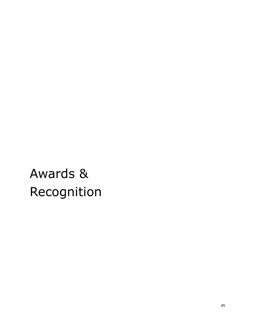# <span id="page-44-0"></span>Awards & Recognition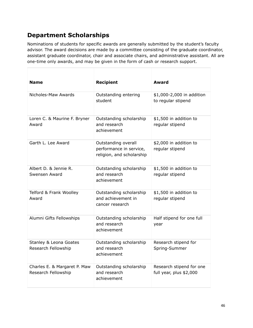# **Department Scholarships**

Nominations of students for specific awards are generally submitted by the student's faculty advisor. The award decisions are made by a committee consisting of the graduate coordinator, assistant graduate coordinator, chair and associate chairs, and administrative assistant. All are one-time only awards, and may be given in the form of cash or research support.

| <b>Name</b>                                         | <b>Recipient</b>                                                            | Award                                               |
|-----------------------------------------------------|-----------------------------------------------------------------------------|-----------------------------------------------------|
| Nicholes-Maw Awards                                 | Outstanding entering<br>student                                             | \$1,000-2,000 in addition<br>to regular stipend     |
| Loren C. & Maurine F. Bryner<br>Award               | Outstanding scholarship<br>and research<br>achievement                      | \$1,500 in addition to<br>regular stipend           |
| Garth L. Lee Award                                  | Outstanding overall<br>performance in service,<br>religion, and scholarship | \$2,000 in addition to<br>regular stipend           |
| Albert D. & Jennie R.<br>Swensen Award              | Outstanding scholarship<br>and research<br>achievement                      | \$1,500 in addition to<br>regular stipend           |
| Telford & Frank Woolley<br>Award                    | Outstanding scholarship<br>and achievement in<br>cancer research            | \$1,500 in addition to<br>regular stipend           |
| Alumni Gifts Fellowships                            | Outstanding scholarship<br>and research<br>achievement                      | Half stipend for one full<br>year                   |
| Stanley & Leona Goates<br>Research Fellowship       | Outstanding scholarship<br>and research<br>achievement                      | Research stipend for<br>Spring-Summer               |
| Charles E. & Margaret P. Maw<br>Research Fellowship | Outstanding scholarship<br>and research<br>achievement                      | Research stipend for one<br>full year, plus \$2,000 |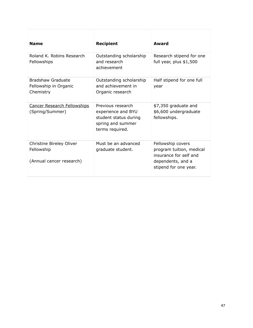| <b>Name</b>                                                        | <b>Recipient</b>                                                                                         | Award                                                                                                                 |
|--------------------------------------------------------------------|----------------------------------------------------------------------------------------------------------|-----------------------------------------------------------------------------------------------------------------------|
| Roland K. Robins Research<br>Fellowships                           | Outstanding scholarship<br>and research<br>achievement                                                   | Research stipend for one<br>full year, plus $$1,500$                                                                  |
| Bradshaw Graduate<br>Fellowship in Organic<br>Chemistry            | Outstanding scholarship<br>and achievement in<br>Organic research                                        | Half stipend for one full<br>year                                                                                     |
| <b>Cancer Research Fellowships</b><br>(Spring/Summer)              | Previous research<br>experience and BYU<br>student status during<br>spring and summer<br>terms required. | \$7,350 graduate and<br>\$6,600 undergraduate<br>fellowships.                                                         |
| Christine Bireley Oliver<br>Fellowship<br>(Annual cancer research) | Must be an advanced<br>graduate student.                                                                 | Fellowship covers<br>program tuition, medical<br>insurance for self and<br>dependents, and a<br>stipend for one year. |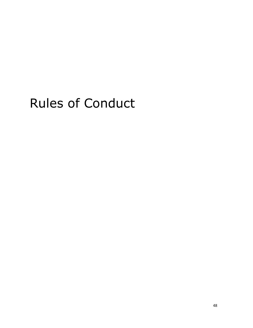# <span id="page-47-0"></span>Rules of Conduct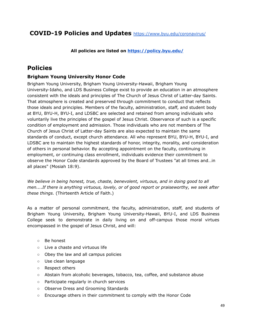## **COVID-19 Policies and Updates** <https://www.byu.edu/coronavirus/>

**All policies are listed on <https://policy.byu.edu/>**

## **Policies**

## **Brigham Young University Honor Code**

Brigham Young University, Brigham Young University-Hawaii, Brigham Young University-Idaho, and LDS Business College exist to provide an education in an atmosphere consistent with the ideals and principles of The Church of Jesus Christ of Latter-day Saints. That atmosphere is created and preserved through commitment to conduct that reflects those ideals and principles. Members of the faculty, administration, staff, and student body at BYU, BYU-H, BYU-I, and LDSBC are selected and retained from among individuals who voluntarily live the principles of the gospel of Jesus Christ. Observance of such is a specific condition of employment and admission. Those individuals who are not members of The Church of Jesus Christ of Latter-day Saints are also expected to maintain the same standards of conduct, except church attendance. All who represent BYU, BYU-H, BYU-I, and LDSBC are to maintain the highest standards of honor, integrity, morality, and consideration of others in personal behavior. By accepting appointment on the faculty, continuing in employment, or continuing class enrollment, individuals evidence their commitment to observe the Honor Code standards approved by the Board of Trustees "at all times and…in all places" (Mosiah 18:9).

*We believe in being honest, true, chaste, benevolent, virtuous, and in doing good to all men....If there is anything virtuous, lovely, or of good report or praiseworthy, we seek after these things.* (Thirteenth Article of Faith.)

As a matter of personal commitment, the faculty, administration, staff, and students of Brigham Young University, Brigham Young University-Hawaii, BYU-I, and LDS Business College seek to demonstrate in daily living on and off-campus those moral virtues encompassed in the gospel of Jesus Christ, and will:

- Be honest
- Live a chaste and virtuous life
- Obey the law and all campus policies
- Use clean language
- Respect others
- Abstain from alcoholic beverages, tobacco, tea, coffee, and substance abuse
- Participate regularly in church services
- Observe Dress and Grooming Standards
- Encourage others in their commitment to comply with the Honor Code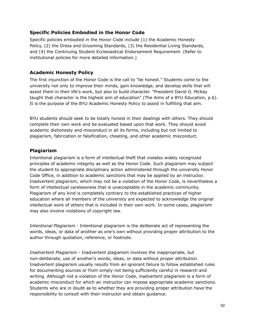#### **Specific Policies Embodied in the Honor Code**

Specific policies embodied in the Honor Code include (1) the Academic Honesty Policy, (2) the Dress and Grooming Standards, (3) the Residential Living Standards, and (4) the Continuing Student Ecclesiastical Endorsement Requirement. (Refer to institutional policies for more detailed information.)

#### **Academic Honesty Policy**

The first injunction of the Honor Code is the call to "be honest." Students come to the university not only to improve their minds, gain knowledge, and develop skills that will assist them in their life's work, but also to build character. "President David O. McKay taught that character is the highest aim of education" (The Aims of a BYU Education, p.6). It is the purpose of the BYU Academic Honesty Policy to assist in fulfilling that aim.

BYU students should seek to be totally honest in their dealings with others. They should complete their own work and be evaluated based upon that work. They should avoid academic dishonesty and misconduct in all its forms, including but not limited to plagiarism, fabrication or falsification, cheating, and other academic misconduct.

#### **Plagiarism**

Intentional plagiarism is a form of intellectual theft that violates widely recognized principles of academic integrity as well as the Honor Code. Such plagiarism may subject the student to appropriate disciplinary action administered through the university Honor Code Office, in addition to academic sanctions that may be applied by an instructor. Inadvertent plagiarism, which may not be a violation of the Honor Code, is nevertheless a form of intellectual carelessness that is unacceptable in the academic community. Plagiarism of any kind is completely contrary to the established practices of higher education where all members of the university are expected to acknowledge the original intellectual work of others that is included in their own work. In some cases, plagiarism may also involve violations of copyright law.

*Intentional Plagiarism* - Intentional plagiarism is the deliberate act of representing the words, ideas, or data of another as one's own without providing proper attribution to the author through quotation, reference, or footnote.

*Inadvertent Plagiarism* - Inadvertent plagiarism involves the inappropriate, but non-deliberate, use of another's words, ideas, or data without proper attribution. Inadvertent plagiarism usually results from an ignorant failure to follow established rules for documenting sources or from simply not being sufficiently careful in research and writing. Although not a violation of the Honor Code, inadvertent plagiarism is a form of academic misconduct for which an instructor can impose appropriate academic sanctions. Students who are in doubt as to whether they are providing proper attribution have the responsibility to consult with their instructor and obtain guidance.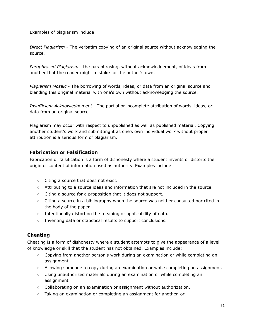Examples of plagiarism include:

*Direct Plagiarism* - The verbatim copying of an original source without acknowledging the source.

*Paraphrased Plagiarism* - the paraphrasing, without acknowledgement, of ideas from another that the reader might mistake for the author's own.

*Plagiarism Mosaic* - The borrowing of words, ideas, or data from an original source and blending this original material with one's own without acknowledging the source.

*Insufficient Acknowledgement* - The partial or incomplete attribution of words, ideas, or data from an original source.

Plagiarism may occur with respect to unpublished as well as published material. Copying another student's work and submitting it as one's own individual work without proper attribution is a serious form of plagiarism.

## **Fabrication or Falsification**

Fabrication or falsification is a form of dishonesty where a student invents or distorts the origin or content of information used as authority. Examples include:

- Citing a source that does not exist.
- Attributing to a source ideas and information that are not included in the source.
- Citing a source for a proposition that it does not support.
- Citing a source in a bibliography when the source was neither consulted nor cited in the body of the paper.
- Intentionally distorting the meaning or applicability of data.
- Inventing data or statistical results to support conclusions.

## **Cheating**

Cheating is a form of dishonesty where a student attempts to give the appearance of a level of knowledge or skill that the student has not obtained. Examples include:

- Copying from another person's work during an examination or while completing an assignment.
- Allowing someone to copy during an examination or while completing an assignment.
- Using unauthorized materials during an examination or while completing an assignment.
- Collaborating on an examination or assignment without authorization.
- Taking an examination or completing an assignment for another, or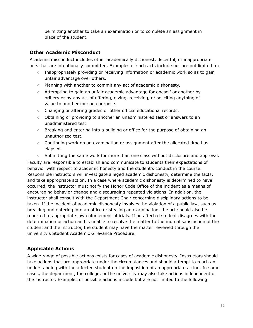permitting another to take an examination or to complete an assignment in place of the student.

## **Other Academic Misconduct**

Academic misconduct includes other academically dishonest, deceitful, or inappropriate acts that are intentionally committed. Examples of such acts include but are not limited to:

- Inappropriately providing or receiving information or academic work so as to gain unfair advantage over others.
- Planning with another to commit any act of academic dishonesty.
- Attempting to gain an unfair academic advantage for oneself or another by bribery or by any act of offering, giving, receiving, or soliciting anything of value to another for such purpose.
- Changing or altering grades or other official educational records.
- Obtaining or providing to another an unadministered test or answers to an unadministered test.
- Breaking and entering into a building or office for the purpose of obtaining an unauthorized test.
- Continuing work on an examination or assignment after the allocated time has elapsed.
- Submitting the same work for more than one class without disclosure and approval.

Faculty are responsible to establish and communicate to students their expectations of behavior with respect to academic honesty and the student's conduct in the course. Responsible instructors will investigate alleged academic dishonesty, determine the facts, and take appropriate action. In a case where academic dishonesty is determined to have occurred, the instructor must notify the Honor Code Office of the incident as a means of encouraging behavior change and discouraging repeated violations. In addition, the instructor shall consult with the Department Chair concerning disciplinary actions to be taken. If the incident of academic dishonesty involves the violation of a public law, such as breaking and entering into an office or stealing an examination, the act should also be reported to appropriate law enforcement officials. If an affected student disagrees with the determination or action and is unable to resolve the matter to the mutual satisfaction of the student and the instructor, the student may have the matter reviewed through the university's Student Academic Grievance Procedure.

## **Applicable Actions**

A wide range of possible actions exists for cases of academic dishonesty. Instructors should take actions that are appropriate under the circumstances and should attempt to reach an understanding with the affected student on the imposition of an appropriate action. In some cases, the department, the college, or the university may also take actions independent of the instructor. Examples of possible actions include but are not limited to the following: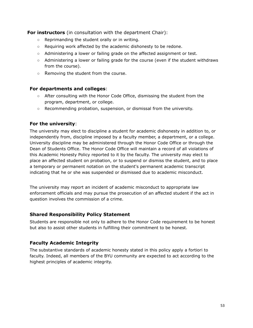**For instructors** (in consultation with the department Chair):

- Reprimanding the student orally or in writing.
- $\circ$  Requiring work affected by the academic dishonesty to be redone.
- Administering a lower or failing grade on the affected assignment or test.
- Administering a lower or failing grade for the course (even if the student withdraws from the course).
- Removing the student from the course.

#### **For departments and colleges**:

- After consulting with the Honor Code Office, dismissing the student from the program, department, or college.
- Recommending probation, suspension, or dismissal from the university.

## **For the university**:

The university may elect to discipline a student for academic dishonesty in addition to, or independently from, discipline imposed by a faculty member, a department, or a college. University discipline may be administered through the Honor Code Office or through the Dean of Students Office. The Honor Code Office will maintain a record of all violations of this Academic Honesty Policy reported to it by the faculty. The university may elect to place an affected student on probation, or to suspend or dismiss the student, and to place a temporary or permanent notation on the student's permanent academic transcript indicating that he or she was suspended or dismissed due to academic misconduct.

The university may report an incident of academic misconduct to appropriate law enforcement officials and may pursue the prosecution of an affected student if the act in question involves the commission of a crime.

#### **Shared Responsibility Policy Statement**

Students are responsible not only to adhere to the Honor Code requirement to be honest but also to assist other students in fulfilling their commitment to be honest.

## **Faculty Academic Integrity**

The substantive standards of academic honesty stated in this policy apply a fortiori to faculty. Indeed, all members of the BYU community are expected to act according to the highest principles of academic integrity.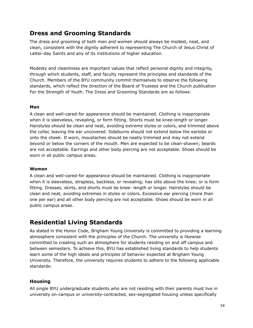## **Dress and Grooming Standards**

The dress and grooming of both men and women should always be modest, neat, and clean, consistent with the dignity adherent to representing The Church of Jesus Christ of Latter-day Saints and any of its institutions of higher education.

Modesty and cleanliness are important values that reflect personal dignity and integrity, through which students, staff, and faculty represent the principles and standards of the Church. Members of the BYU community commit themselves to observe the following standards, which reflect the direction of the Board of Trustees and the Church publication For the Strength of Youth. The Dress and Grooming Standards are as follows:

#### **Men**

A clean and well-cared-for appearance should be maintained. Clothing is inappropriate when it is sleeveless, revealing, or form fitting. Shorts must be knee-length or longer. Hairstyles should be clean and neat, avoiding extreme styles or colors, and trimmed above the collar, leaving the ear uncovered. Sideburns should not extend below the earlobe or onto the cheek. If worn, moustaches should be neatly trimmed and may not extend beyond or below the corners of the mouth. Men are expected to be clean-shaven; beards are not acceptable. Earrings and other body piercing are not acceptable. Shoes should be worn in all public campus areas.

#### **Women**

A clean and well-cared-for appearance should be maintained. Clothing is inappropriate when it is sleeveless, strapless, backless, or revealing; has slits above the knee; or is form fitting. Dresses, skirts, and shorts must be knee- length or longer. Hairstyles should be clean and neat, avoiding extremes in styles or colors. Excessive ear piercing (more than one per ear) and all other body piercing are not acceptable. Shoes should be worn in all public campus areas.

## **Residential Living Standards**

As stated in the Honor Code, Brigham Young University is committed to providing a learning atmosphere consistent with the principles of the Church. The university is likewise committed to creating such an atmosphere for students residing on and off campus and between semesters. To achieve this, BYU has established living standards to help students learn some of the high ideals and principles of behavior expected at Brigham Young University. Therefore, the university requires students to adhere to the following applicable standards:

## **Housing**

All single BYU undergraduate students who are not residing with their parents must live in university on-campus or university-contracted, sex-segregated housing unless specifically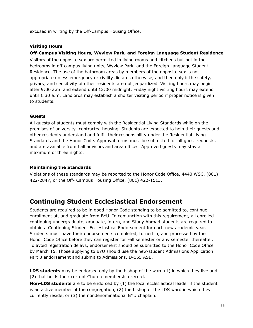excused in writing by the Off-Campus Housing Office.

#### **Visiting Hours**

#### **Off-Campus Visiting Hours, Wyview Park, and Foreign Language Student Residence**

Visitors of the opposite sex are permitted in living rooms and kitchens but not in the bedrooms in off-campus living units, Wyview Park, and the Foreign Language Student Residence. The use of the bathroom areas by members of the opposite sex is not appropriate unless emergency or civility dictates otherwise, and then only if the safety, privacy, and sensitivity of other residents are not jeopardized. Visiting hours may begin after 9:00 a.m. and extend until 12:00 midnight. Friday night visiting hours may extend until 1:30 a.m. Landlords may establish a shorter visiting period if proper notice is given to students.

#### **Guests**

All guests of students must comply with the Residential Living Standards while on the premises of university- contracted housing. Students are expected to help their guests and other residents understand and fulfill their responsibility under the Residential Living Standards and the Honor Code. Approval forms must be submitted for all guest requests, and are available from hall advisors and area offices. Approved guests may stay a maximum of three nights.

#### **Maintaining the Standards**

Violations of these standards may be reported to the Honor Code Office, 4440 WSC, (801) 422-2847, or the Off- Campus Housing Office, (801) 422-1513.

## **Continuing Student Ecclesiastical Endorsement**

Students are required to be in good Honor Code standing to be admitted to, continue enrollment at, and graduate from BYU. In conjunction with this requirement, all enrolled continuing undergraduate, graduate, intern, and Study Abroad students are required to obtain a Continuing Student Ecclesiastical Endorsement for each new academic year. Students must have their endorsements completed, turned in, and processed by the Honor Code Office before they can register for Fall semester or any semester thereafter. To avoid registration delays, endorsement should be submitted to the Honor Code Office by March 15. Those applying to BYU should use the new-student Admissions Application Part 3 endorsement and submit to Admissions, D-155 ASB.

**LDS students** may be endorsed only by the bishop of the ward (1) in which they live and (2) that holds their current Church membership record.

**Non-LDS students** are to be endorsed by (1) the local ecclesiastical leader if the student is an active member of the congregation, (2) the bishop of the LDS ward in which they currently reside, or (3) the nondenominational BYU chaplain.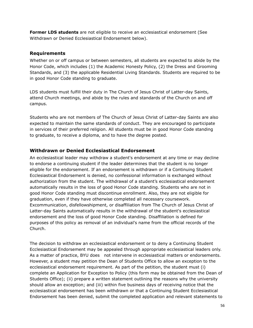**Former LDS students** are not eligible to receive an ecclesiastical endorsement (See Withdrawn or Denied Ecclesiastical Endorsement below).

#### **Requirements**

Whether on or off campus or between semesters, all students are expected to abide by the Honor Code, which includes (1) the Academic Honesty Policy, (2) the Dress and Grooming Standards, and (3) the applicable Residential Living Standards. Students are required to be in good Honor Code standing to graduate.

LDS students must fulfill their duty in The Church of Jesus Christ of Latter-day Saints, attend Church meetings, and abide by the rules and standards of the Church on and off campus.

Students who are not members of The Church of Jesus Christ of Latter-day Saints are also expected to maintain the same standards of conduct. They are encouraged to participate in services of their preferred religion. All students must be in good Honor Code standing to graduate, to receive a diploma, and to have the degree posted.

## **Withdrawn or Denied Ecclesiastical Endorsement**

An ecclesiastical leader may withdraw a student's endorsement at any time or may decline to endorse a continuing student if the leader determines that the student is no longer eligible for the endorsement. If an endorsement is withdrawn or if a Continuing Student Ecclesiastical Endorsement is denied, no confessional information is exchanged without authorization from the student. The withdrawal of a student's ecclesiastical endorsement automatically results in the loss of good Honor Code standing. Students who are not in good Honor Code standing must discontinue enrollment. Also, they are not eligible for graduation, even if they have otherwise completed all necessary coursework. Excommunication, disfellowshipment, or disaffiliation from The Church of Jesus Christ of Latter-day Saints automatically results in the withdrawal of the student's ecclesiastical endorsement and the loss of good Honor Code standing. Disaffiliation is defined for purposes of this policy as removal of an individual's name from the official records of the Church.

The decision to withdraw an ecclesiastical endorsement or to deny a Continuing Student Ecclesiastical Endorsement may be appealed through appropriate ecclesiastical leaders only. As a matter of practice, BYU does not intervene in ecclesiastical matters or endorsements. However, a student may petition the Dean of Students Office to allow an exception to the ecclesiastical endorsement requirement. As part of the petition, the student must (i) complete an Application for Exception to Policy (this form may be obtained from the Dean of Students Office); (ii) prepare a written statement outlining the reasons why the university should allow an exception; and (iii) within five business days of receiving notice that the ecclesiastical endorsement has been withdrawn or that a Continuing Student Ecclesiastical Endorsement has been denied, submit the completed application and relevant statements to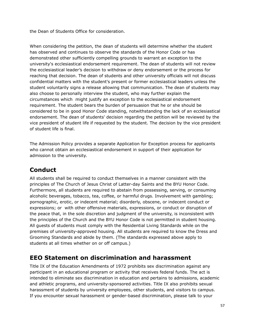the Dean of Students Office for consideration.

When considering the petition, the dean of students will determine whether the student has observed and continues to observe the standards of the Honor Code or has demonstrated other sufficiently compelling grounds to warrant an exception to the university's ecclesiastical endorsement requirement. The dean of students will not review the ecclesiastical leader's decision to withdraw or deny endorsement or the process for reaching that decision. The dean of students and other university officials will not discuss confidential matters with the student's present or former ecclesiastical leaders unless the student voluntarily signs a release allowing that communication. The dean of students may also choose to personally interview the student, who may further explain the circumstances which might justify an exception to the ecclesiastical endorsement requirement. The student bears the burden of persuasion that he or she should be considered to be in good Honor Code standing, notwithstanding the lack of an ecclesiastical endorsement. The dean of students' decision regarding the petition will be reviewed by the vice president of student life if requested by the student. The decision by the vice president of student life is final.

The Admission Policy provides a separate Application for Exception process for applicants who cannot obtain an ecclesiastical endorsement in support of their application for admission to the university.

# **Conduct**

All students shall be required to conduct themselves in a manner consistent with the principles of The Church of Jesus Christ of Latter-day Saints and the BYU Honor Code. Furthermore, all students are required to abstain from possessing, serving, or consuming alcoholic beverages, tobacco, tea, coffee, or harmful drugs. Involvement with gambling; pornographic, erotic, or indecent material; disorderly, obscene, or indecent conduct or expressions; or with other offensive materials, expressions, or conduct or disruption of the peace that, in the sole discretion and judgment of the university, is inconsistent with the principles of the Church and the BYU Honor Code is not permitted in student housing. All guests of students must comply with the Residential Living Standards while on the premises of university-approved housing. All students are required to know the Dress and Grooming Standards and abide by them. (The standards expressed above apply to students at all times whether on or off campus.)

# **EEO Statement on discrimination and harassment**

Title IX of the Education Amendments of 1972 prohibits sex discrimination against any participant in an educational program or activity that receives federal funds. The act is intended to eliminate sex discrimination in education and pertains to admissions, academic and athletic programs, and university-sponsored activities. Title IX also prohibits sexual harassment of students by university employees, other students, and visitors to campus. If you encounter sexual harassment or gender-based discrimination, please talk to your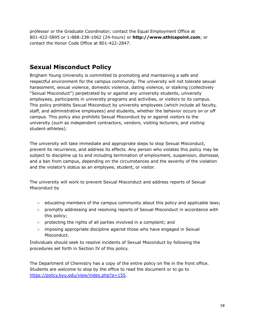professor or the Graduate Coordinator; contact the Equal Employment Office at 801-422-5895 or 1-888-238-1062 (24-hours) or **http://www.ethicspoint.com**; or contact the Honor Code Office at 801-422-2847.

## **Sexual Misconduct Policy**

Brigham Young University is committed to promoting and maintaining a safe and respectful environment for the campus community. The university will not tolerate sexual harassment, sexual violence, domestic violence, dating violence, or stalking (collectively "Sexual Misconduct") perpetrated by or against any university students, university employees, participants in university programs and activities, or visitors to its campus. This policy prohibits Sexual Misconduct by university employees (which include all faculty, staff, and administrative employees) and students, whether the behavior occurs on or off campus. This policy also prohibits Sexual Misconduct by or against visitors to the university (such as independent contractors, vendors, visiting lecturers, and visiting student-athletes).

The university will take immediate and appropriate steps to stop Sexual Misconduct, prevent its recurrence, and address its effects. Any person who violates this policy may be subject to discipline up to and including termination of employment, suspension, dismissal, and a ban from campus, depending on the circumstances and the severity of the violation and the violator's status as an employee, student, or visitor.

The university will work to prevent Sexual Misconduct and address reports of Sexual Misconduct by

- educating members of the campus community about this policy and applicable laws;
- promptly addressing and resolving reports of Sexual Misconduct in accordance with this policy;
- protecting the rights of all parties involved in a complaint; and
- imposing appropriate discipline against those who have engaged in Sexual Misconduct.

Individuals should seek to resolve incidents of Sexual Misconduct by following the procedures set forth in Section IV of this policy.

The Department of Chemistry has a copy of the entire policy on file in the front office. Students are welcome to stop by the office to read the document or to go to [https://policy.byu.edu/view/index.php?p=155.](https://policy.byu.edu/view/index.php?p=155)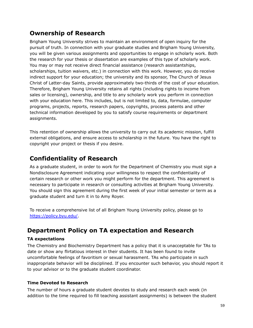# **Ownership of Research**

Brigham Young University strives to maintain an environment of open inquiry for the pursuit of truth. In connection with your graduate studies and Brigham Young University, you will be given various assignments and opportunities to engage in scholarly work. Both the research for your thesis or dissertation are examples of this type of scholarly work. You may or may not receive direct financial assistance (research assistantships, scholarships, tuition waivers, etc.) in connection with this work. However, you do receive indirect support for your education; the university and its sponsor, The Church of Jesus Christ of Latter-day Saints, provide approximately two-thirds of the cost of your education. Therefore, Brigham Young University retains all rights (including rights to income from sales or licensing), ownership, and title to any scholarly work you perform in connection with your education here. This includes, but is not limited to, data, formulae, computer programs, projects, reports, research papers, copyrights, process patents and other technical information developed by you to satisfy course requirements or department assignments.

This retention of ownership allows the university to carry out its academic mission, fulfill external obligations, and ensure access to scholarship in the future. You have the right to copyright your project or thesis if you desire.

# **Confidentiality of Research**

As a graduate student, in order to work for the Department of Chemistry you must sign a Nondisclosure Agreement indicating your willingness to respect the confidentiality of certain research or other work you might perform for the department. This agreement is necessary to participate in research or consulting activities at Brigham Young University. You should sign this agreement during the first week of your initial semester or term as a graduate student and turn it in to Amy Royer.

To receive a comprehensive list of all Brigham Young University policy, please go to [https://policy.byu.edu/.](https://policy.byu.edu/)

# **Department Policy on TA expectation and Research**

## **TA expectations**

The Chemistry and Biochemistry Department has a policy that it is unacceptable for TAs to date or show any flirtatious interest in their students. It has been found to invite uncomfortable feelings of favoritism or sexual harassment. TAs who participate in such inappropriate behavior will be disciplined. If you encounter such behavior, you should report it to your advisor or to the graduate student coordinator.

## **Time Devoted to Research**

The number of hours a graduate student devotes to study and research each week (in addition to the time required to fill teaching assistant assignments) is between the student